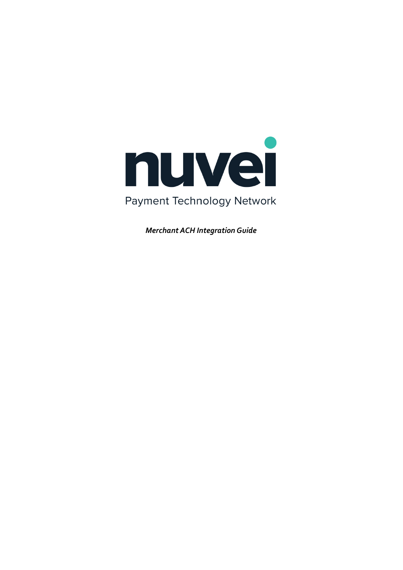

*Merchant ACH Integration Guide*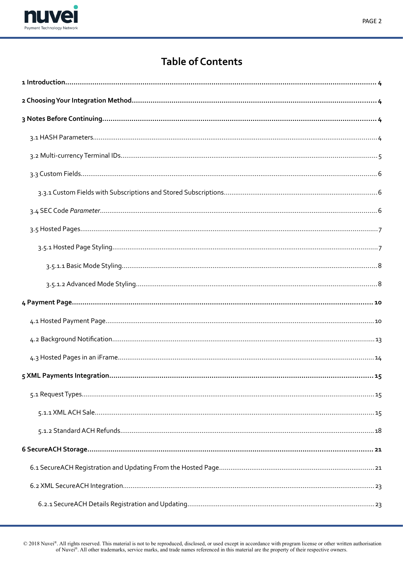

## PAGE<sub>2</sub>

# **Table of Contents**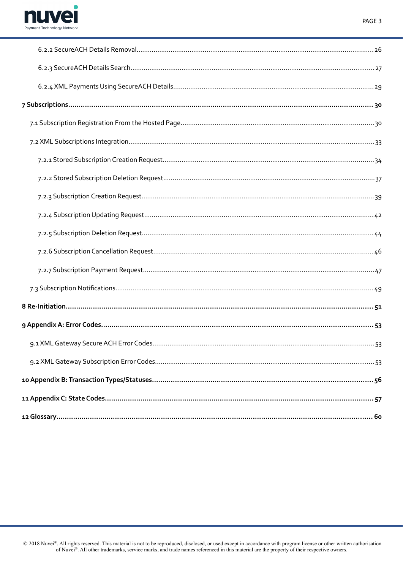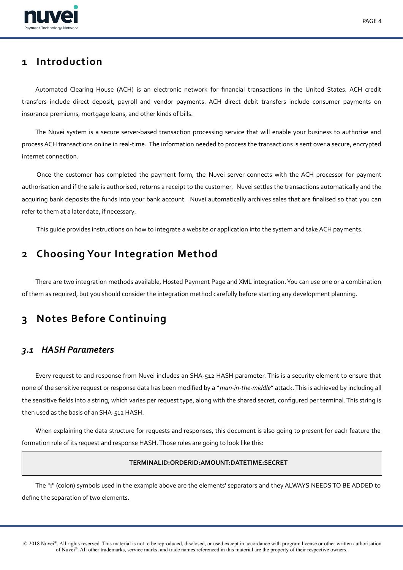

# <span id="page-3-3"></span>**1 Introduction**

Automated Clearing House (ACH) is an electronic network for fnancial transactions in the United States. ACH credit transfers include direct deposit, payroll and vendor payments. ACH direct debit transfers include consumer payments on insurance premiums, mortgage loans, and other kinds of bills.

The Nuvei system is a secure server-based transaction processing service that will enable your business to authorise and process ACH transactions online in real-time. The information needed to process the transactions is sent over a secure, encrypted internet connection.

Once the customer has completed the payment form, the Nuvei server connects with the ACH processor for payment authorisation and if the sale is authorised, returns a receipt to the customer. Nuvei settles the transactions automatically and the acquiring bank deposits the funds into your bank account. Nuvei automatically archives sales that are fnalised so that you can refer to them at a later date, if necessary.

This guide provides instructions on how to integrate a website or application into the system and take ACH payments.

# <span id="page-3-2"></span>**2 Choosing Your Integration Method**

There are two integration methods available, Hosted Payment Page and XML integration. You can use one or a combination of them as required, but you should consider the integration method carefully before starting any development planning.

# <span id="page-3-1"></span>**3 Notes Before Continuing**

# <span id="page-3-0"></span>*3.1 HASH Parameters*

Every request to and response from Nuvei includes an SHA-512 HASH parameter. This is a security element to ensure that none of the sensitive request or response data has been modifed by a "*man-in-the-middle*" attack. This is achieved by including all the sensitive felds into a string, which varies per request type, along with the shared secret, confgured per terminal. This string is then used as the basis of an SHA-512 HASH.

When explaining the data structure for requests and responses, this document is also going to present for each feature the formation rule of its request and response HASH. Those rules are going to look like this:

# **TERMINALID:ORDERID:AMOUNT:DATETIME:SECRET**

The "**:**" (colon) symbols used in the example above are the elements' separators and they ALWAYS NEEDS TO BE ADDED to defne the separation of two elements.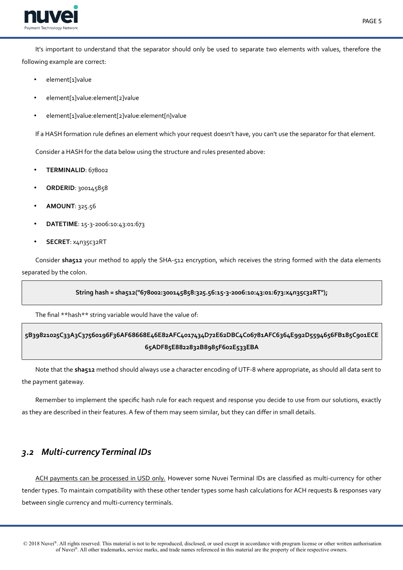

It's important to understand that the separator should only be used to separate two elements with values, therefore the following example are correct:

- element[1]value
- element[1]value:element[2]value
- element[1]value:element[2]value:element[n]value

If a HASH formation rule defnes an element which your request doesn't have, you can't use the separator for that element.

Consider a HASH for the data below using the structure and rules presented above:

- **TERMINALID**: 678002
- **ORDERID**: 300145858
- **AMOUNT**: 325.56
- **DATETIME**: 15-3-2006:10:43:01:673
- **SECRET**: x4n35c32RT

Consider sha512 your method to apply the SHA-512 encryption, which receives the string formed with the data elements separated by the colon.

# **String hash = sha512("678002:300145858:325.56:15-3-2006:10:43:01:673:x4n35c32RT");**

The fnal \*\*hash\*\* string variable would have the value of:

# **5B39821025C33A3C37560196F36AF68668E46E82AFC4017434D72E62DBC4C06781AFC6364E992D5594656FB185C901ECE 65ADF85E8822832B8985F602E533EBA**

Note that the **sha512** method should always use a character encoding of UTF-8 where appropriate, as should all data sent to the payment gateway.

Remember to implement the specifc hash rule for each request and response you decide to use from our solutions, exactly as they are described in their features. A few of them may seem similar, but they can difer in small details.

# <span id="page-4-0"></span>*3.2 Multi-currency Terminal IDs*

ACH payments can be processed in USD only. However some Nuvei Terminal IDs are classified as multi-currency for other tender types. To maintain compatibility with these other tender types some hash calculations for ACH requests & responses vary between single currency and multi-currency terminals.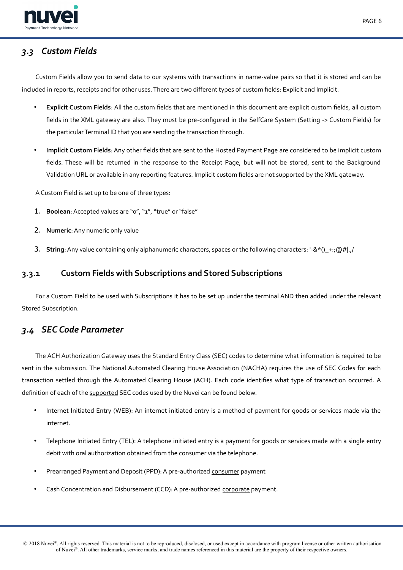

# <span id="page-5-2"></span>*3.3 Custom Fields*

Custom Fields allow you to send data to our systems with transactions in name-value pairs so that it is stored and can be included in reports, receipts and for other uses. There are two diferent types of custom felds: Explicit and Implicit.

- **Explicit Custom Fields**: All the custom felds that are mentioned in this document are explicit custom felds, all custom fields in the XML gateway are also. They must be pre-configured in the SelfCare System (Setting -> Custom Fields) for the particular Terminal ID that you are sending the transaction through.
- **Implicit Custom Fields**: Any other felds that are sent to the Hosted Payment Page are considered to be implicit custom felds. These will be returned in the response to the Receipt Page, but will not be stored, sent to the Background Validation URL or available in any reporting features. Implicit custom felds are not supported by the XML gateway.

A Custom Field is set up to be one of three types:

- 1. **Boolean**: Accepted values are "o", "1", "true" or "false"
- 2. **Numeric**: Any numeric only value
- <span id="page-5-1"></span>3. **String**: Any value containing only alphanumeric characters, spaces or the following characters: '-&\*()\_+:;@#|.,/

# **3.3.1 Custom Fields with Subscriptions and Stored Subscriptions**

For a Custom Field to be used with Subscriptions it has to be set up under the terminal AND then added under the relevant Stored Subscription.

# <span id="page-5-0"></span>*3.4 SEC Code Parameter*

The ACH Authorization Gateway uses the Standard Entry Class (SEC) codes to determine what information is required to be sent in the submission. The National Automated Clearing House Association (NACHA) requires the use of SEC Codes for each transaction settled through the Automated Clearing House (ACH). Each code identifes what type of transaction occurred. A definition of each of the supported SEC codes used by the Nuvei can be found below.

- Internet Initiated Entry (WEB): An internet initiated entry is a method of payment for goods or services made via the internet.
- Telephone Initiated Entry (TEL): A telephone initiated entry is a payment for goods or services made with a single entry debit with oral authorization obtained from the consumer via the telephone.
- Prearranged Payment and Deposit (PPD): A pre-authorized consumer payment
- Cash Concentration and Disbursement (CCD): A pre-authorized corporate payment.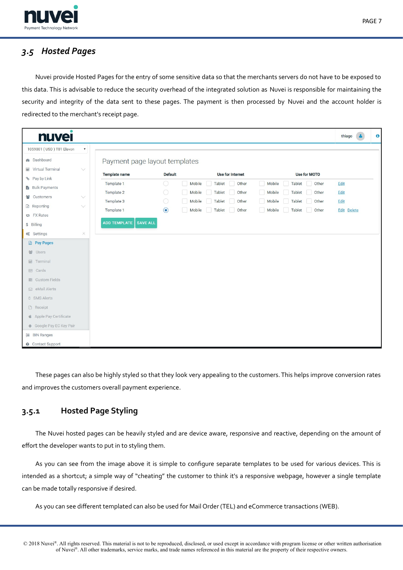



# <span id="page-6-1"></span>*3.5 Hosted Pages*

Nuvei provide Hosted Pages for the entry of some sensitive data so that the merchants servers do not have to be exposed to this data. This is advisable to reduce the security overhead of the integrated solution as Nuvei is responsible for maintaining the security and integrity of the data sent to these pages. The payment is then processed by Nuvei and the account holder is redirected to the merchant's receipt page.

| $\bullet$<br><b>nuvel</b>                      |                                        |                |                           |                           | thiago      |
|------------------------------------------------|----------------------------------------|----------------|---------------------------|---------------------------|-------------|
| 1059001 (USD) T01 Elavon<br>$\pmb{\mathrm{v}}$ |                                        |                |                           |                           |             |
| <b>®</b> Dashboard                             | Payment page layout templates          |                |                           |                           |             |
| Wirtual Terminal<br>$\vee$                     |                                        |                |                           |                           |             |
| % Pay by Link                                  | <b>Template name</b>                   | <b>Default</b> | <b>Use for Internet</b>   | <b>Use for MOTO</b>       |             |
| <b>B</b> Bulk Payments                         | Template 1                             | $\bigcirc$     | Mobile<br>Tablet<br>Other | Mobile<br>Tablet<br>Other | Edit        |
| 誉 Customers<br>$\checkmark$                    | Template 2                             | $\bigcirc$     | Mobile<br>Tablet<br>Other | Mobile<br>Tablet<br>Other | Edit        |
| <b>■</b> Reporting<br>$\vee$                   | Template 3                             | $\bigcirc$     | Mobile<br>Tablet<br>Other | Mobile<br>Tablet<br>Other | Edit        |
| <b>EX Rates</b>                                | Template 1                             | $\odot$        | Mobile<br>Tablet<br>Other | Mobile<br>Tablet<br>Other | Edit Delete |
| \$ Billing                                     | <b>ADD TEMPLATE</b><br><b>SAVE ALL</b> |                |                           |                           |             |
| $\times$<br>de Settings                        |                                        |                |                           |                           |             |
| <b>B</b> Pay Pages                             |                                        |                |                           |                           |             |
| 불 Users                                        |                                        |                |                           |                           |             |
| <b>■</b> Terminal                              |                                        |                |                           |                           |             |
| <b>■</b> Cards                                 |                                        |                |                           |                           |             |
| <b>E</b> Custom Fields                         |                                        |                |                           |                           |             |
| $\boxdot$ eMail Alerts                         |                                        |                |                           |                           |             |
| <b>D</b> SMS Alerts                            |                                        |                |                           |                           |             |
| Receipt                                        |                                        |                |                           |                           |             |
| Apple Pay Certificate                          |                                        |                |                           |                           |             |
| Google Pay EC Key Pair                         |                                        |                |                           |                           |             |
| <b>E</b> BIN Ranges                            |                                        |                |                           |                           |             |
| <b>O</b> Contact Support                       |                                        |                |                           |                           |             |

These pages can also be highly styled so that they look very appealing to the customers. This helps improve conversion rates and improves the customers overall payment experience.

# <span id="page-6-0"></span>**3.5.1 Hosted Page Styling**

The Nuvei hosted pages can be heavily styled and are device aware, responsive and reactive, depending on the amount of efort the developer wants to put in to styling them.

As you can see from the image above it is simple to confgure separate templates to be used for various devices. This is intended as a shortcut; a simple way of "cheating" the customer to think it's a responsive webpage, however a single template can be made totally responsive if desired.

As you can see diferent templated can also be used for Mail Order (TEL) and eCommerce transactions (WEB).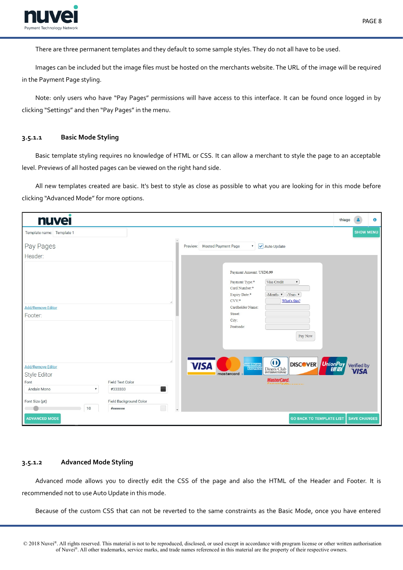

There are three permanent templates and they default to some sample styles. They do not all have to be used.

Images can be included but the image fles must be hosted on the merchants website. The URL of the image will be required in the Payment Page styling.

Note: only users who have "Pay Pages" permissions will have access to this interface. It can be found once logged in by clicking "Settings" and then "Pay Pages" in the menu.

## <span id="page-7-1"></span>**3.5.1.1 Basic Mode Styling**

Basic template styling requires no knowledge of HTML or CSS. It can allow a merchant to style the page to an acceptable level. Previews of all hosted pages can be viewed on the right hand side.

All new templates created are basic. It's best to style as close as possible to what you are looking for in this mode before clicking "Advanced Mode" for more options.

| <b>nuvei</b>                                    |                                                                                                                                                                                                                                                        | thiago                     | $\bullet$ |
|-------------------------------------------------|--------------------------------------------------------------------------------------------------------------------------------------------------------------------------------------------------------------------------------------------------------|----------------------------|-----------|
| Template name: Template 1                       |                                                                                                                                                                                                                                                        | <b>SHOW MENU</b>           |           |
| Pay Pages                                       | v Auto Update<br>Preview: Hosted Payment Page                                                                                                                                                                                                          |                            |           |
| Header:                                         |                                                                                                                                                                                                                                                        |                            |           |
| <b>Add/Remove Editor</b><br>Footer:             | Payment Amount: USD0.99<br>Payment Type:*<br>Visa Credit<br>$\pmb{\mathrm{v}}$<br>Card Number:*<br>-Month- $\mathbf{v}$ -Year- $\mathbf{v}$<br>Expiry Date:*<br>$CVV*$<br>What's this?<br>Cardholder Name:<br>Street:<br>City:<br>Postcode:<br>Pay Now |                            |           |
| <b>Add/Remove Editor</b>                        | $\boldsymbol{\omega}$<br>DISCOVER UnionPay<br><b>VISA</b><br><b>AMERICAN</b><br>EXPRESS<br>Diners Club<br><b>INTERNATIONAL</b><br>mastercard                                                                                                           | Verified by<br><b>VISA</b> |           |
| Style Editor<br>Font<br><b>Field Text Color</b> | <b>MasterCard.</b>                                                                                                                                                                                                                                     |                            |           |
| Andale Mono<br>$\pmb{\mathrm{v}}$<br>#333333    |                                                                                                                                                                                                                                                        |                            |           |
|                                                 |                                                                                                                                                                                                                                                        |                            |           |
| Field Background Color<br>Font Size (pt)        |                                                                                                                                                                                                                                                        |                            |           |
| $\Box$<br>10<br>#eeeeee                         |                                                                                                                                                                                                                                                        |                            |           |
| <b>ADVANCED MODE</b>                            | <b>GO BACK TO TEMPLATE LIST</b>                                                                                                                                                                                                                        | <b>SAVE CHANGES</b>        |           |

## <span id="page-7-0"></span>**3.5.1.2 Advanced Mode Styling**

Advanced mode allows you to directly edit the CSS of the page and also the HTML of the Header and Footer. It is recommended not to use Auto Update in this mode.

Because of the custom CSS that can not be reverted to the same constraints as the Basic Mode, once you have entered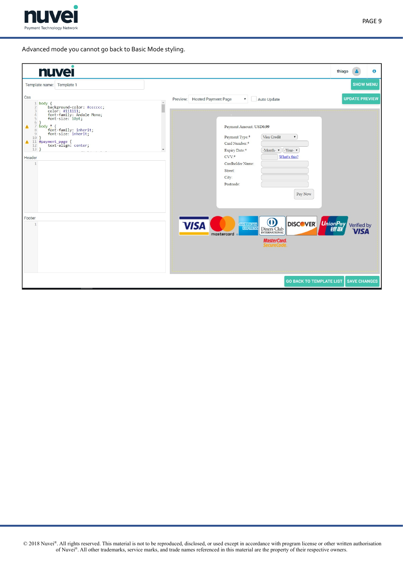

Advanced mode you cannot go back to Basic Mode styling.

| <b>nuvei</b>                                                                                                                                                                                                                                                                                                                                                                                                                               |                                                                                                                                                                                                                                                                                                                                       | thiago                                               | $\bullet$ |
|--------------------------------------------------------------------------------------------------------------------------------------------------------------------------------------------------------------------------------------------------------------------------------------------------------------------------------------------------------------------------------------------------------------------------------------------|---------------------------------------------------------------------------------------------------------------------------------------------------------------------------------------------------------------------------------------------------------------------------------------------------------------------------------------|------------------------------------------------------|-----------|
| Template name: Template 1<br>Css                                                                                                                                                                                                                                                                                                                                                                                                           |                                                                                                                                                                                                                                                                                                                                       | <b>SHOW MENU</b>                                     |           |
| $\Delta$<br>body {<br>$\mathbf{1}$<br>ī<br>y<br>hackground-color: #cccccc;<br>color: #111111;<br>font-family: Andale Mono;<br>font-size: 10pt;<br>$\overline{2}$<br>3<br>$\overline{4}$<br>5<br>$6$ }<br>$7$ body $*$ {<br>$\triangle$<br>font-family: inherit;<br>font-size: inherit;<br>8<br>$\overline{9}$<br>$10$ }<br>11 #payment_page {<br>12 #payment_page {<br>12 text-align: center;<br>$\blacktriangle$<br>$13$ }<br>Header<br>1 | Preview: Hosted Payment Page<br>Auto Update<br>$\pmb{\mathrm{v}}$<br>Payment Amount: USD0.99<br>Visa Credit<br>Payment Type:*<br>$\boldsymbol{\mathrm{v}}$<br>Card Number:*<br>-Month- $\mathbf{v}$   -Year- $\mathbf{v}$<br>Expiry Date:*<br>$CVV^*$<br>What's this?<br>Cardholder Name:<br>Street:<br>City:<br>Postcode:<br>Pay Now | <b>UPDATE PREVIEW</b>                                |           |
| Footer                                                                                                                                                                                                                                                                                                                                                                                                                                     | $\bf O$<br><b>DISCOVER</b><br><b>VISA</b><br><b>AMERICAN</b><br><b>EXPRESS</b><br>Diners Club<br><b>INTERNATIONAL</b><br>mastercard<br><b>MasterCard.</b><br><b>SecureCode</b>                                                                                                                                                        | UnionPay<br>観 <i>联</i><br>Verified by<br><b>VIS4</b> |           |
|                                                                                                                                                                                                                                                                                                                                                                                                                                            | <b>GO BACK TO TEMPLATE LIST</b>                                                                                                                                                                                                                                                                                                       | <b>SAVE CHANGES</b>                                  |           |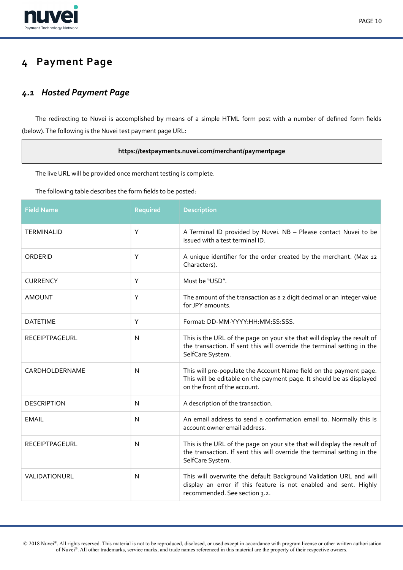

# <span id="page-9-1"></span>**4 Payment Page**

# <span id="page-9-0"></span>*4.1 Hosted Payment Page*

The redirecting to Nuvei is accomplished by means of a simple HTML form post with a number of defned form felds (below). The following is the Nuvei test payment page URL:

# **https://testpayments.nuvei.com/merchant/paymentpage**

The live URL will be provided once merchant testing is complete.

The following table describes the form felds to be posted:

| <b>Field Name</b>     | <b>Required</b> | <b>Description</b>                                                                                                                                                         |
|-----------------------|-----------------|----------------------------------------------------------------------------------------------------------------------------------------------------------------------------|
| <b>TERMINALID</b>     | Y               | A Terminal ID provided by Nuvei. NB - Please contact Nuvei to be<br>issued with a test terminal ID.                                                                        |
| ORDERID               | Y               | A unique identifier for the order created by the merchant. (Max 12<br>Characters).                                                                                         |
| <b>CURRENCY</b>       | Υ               | Must be "USD".                                                                                                                                                             |
| <b>AMOUNT</b>         | Y               | The amount of the transaction as a 2 digit decimal or an Integer value<br>for JPY amounts.                                                                                 |
| <b>DATETIME</b>       | Y               | Format: DD-MM-YYYY:HH:MM:SS:SSS.                                                                                                                                           |
| <b>RECEIPTPAGEURL</b> | $\mathsf{N}$    | This is the URL of the page on your site that will display the result of<br>the transaction. If sent this will override the terminal setting in the<br>SelfCare System.    |
| CARDHOLDERNAME        | N               | This will pre-populate the Account Name field on the payment page.<br>This will be editable on the payment page. It should be as displayed<br>on the front of the account. |
| <b>DESCRIPTION</b>    | N               | A description of the transaction.                                                                                                                                          |
| <b>EMAIL</b>          | $\mathsf{N}$    | An email address to send a confirmation email to. Normally this is<br>account owner email address.                                                                         |
| RECEIPTPAGEURL        | $\mathsf{N}$    | This is the URL of the page on your site that will display the result of<br>the transaction. If sent this will override the terminal setting in the<br>SelfCare System.    |
| VALIDATIONURL         | N               | This will overwrite the default Background Validation URL and will<br>display an error if this feature is not enabled and sent. Highly<br>recommended. See section 3.2.    |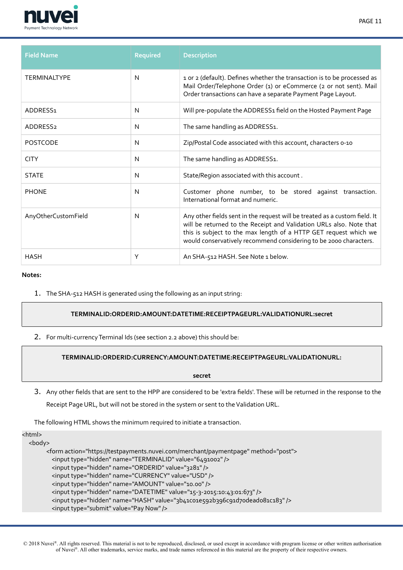

| <b>Field Name</b>    | <b>Required</b> | <b>Description</b>                                                                                                                                                                                                                                                                         |
|----------------------|-----------------|--------------------------------------------------------------------------------------------------------------------------------------------------------------------------------------------------------------------------------------------------------------------------------------------|
| <b>TERMINALTYPE</b>  | N               | 1 or 2 (default). Defines whether the transaction is to be processed as<br>Mail Order/Telephone Order (1) or eCommerce (2 or not sent). Mail<br>Order transactions can have a separate Payment Page Layout.                                                                                |
| ADDRESS <sub>1</sub> | N               | Will pre-populate the ADDRESS1 field on the Hosted Payment Page                                                                                                                                                                                                                            |
| ADDRESS <sub>2</sub> | N               | The same handling as ADDRESS1.                                                                                                                                                                                                                                                             |
| <b>POSTCODE</b>      | N               | Zip/Postal Code associated with this account, characters o-10                                                                                                                                                                                                                              |
| <b>CITY</b>          | N               | The same handling as ADDRESS1.                                                                                                                                                                                                                                                             |
| <b>STATE</b>         | N               | State/Region associated with this account.                                                                                                                                                                                                                                                 |
| <b>PHONE</b>         | N               | Customer phone number, to be stored against transaction.<br>International format and numeric.                                                                                                                                                                                              |
| AnyOtherCustomField  | N               | Any other fields sent in the request will be treated as a custom field. It<br>will be returned to the Receipt and Validation URLs also. Note that<br>this is subject to the max length of a HTTP GET request which we<br>would conservatively recommend considering to be 2000 characters. |
| <b>HASH</b>          | Υ               | An SHA-512 HASH. See Note 1 below.                                                                                                                                                                                                                                                         |

 $\sim$ ina

1. The SHA-512 HASH is generated using the following as an input string:

## **TERMINALID:ORDERID:AMOUNT:DATETIME:RECEIPTPAGEURL:VALIDATIONURL:secret**

2. For multi-currency Terminal Ids (see section 2.2 above) this should be:

## **TERMINALID:ORDERID:CURRENCY:AMOUNT:DATETIME:RECEIPTPAGEURL:VALIDATIONURL:**

**secret**

3. Any other felds that are sent to the HPP are considered to be 'extra felds'. These will be returned in the response to the Receipt Page URL, but will not be stored in the system or sent to the Validation URL.

The following HTML shows the minimum required to initiate a transaction.

| <ntmi></ntmi> |                                                                                                                                                                                                                                                                                                                                                                                                                                                                                      |
|---------------|--------------------------------------------------------------------------------------------------------------------------------------------------------------------------------------------------------------------------------------------------------------------------------------------------------------------------------------------------------------------------------------------------------------------------------------------------------------------------------------|
| <body></body> |                                                                                                                                                                                                                                                                                                                                                                                                                                                                                      |
|               | <form action="https://testpayments.nuvei.com/merchant/paymentpage" method="post"><br/><input name="TERMINALID" type="hidden" value="6491002"/><br/><input name="ORDERID" type="hidden" value="3281"/><br/><input name="CURRENCY" type="hidden" value="USD"/><br/><input name="AMOUNT" type="hidden" value="10.00"/><br/><input name="DATETIME" type="hidden" value="15-3-2015:10:43:01:673"/><br/><input name="HASH" type="hidden" value="3b41co1e592b396c91d7odeado81c183"/></form> |
|               | <input type="submit" value="Pay Now"/>                                                                                                                                                                                                                                                                                                                                                                                                                                               |
|               |                                                                                                                                                                                                                                                                                                                                                                                                                                                                                      |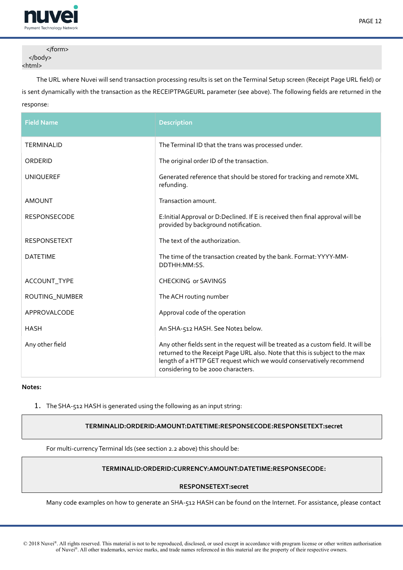

PAGE 12

</form> </body> <html>

The URL where Nuvei will send transaction processing results is set on the Terminal Setup screen (Receipt Page URL feld) or is sent dynamically with the transaction as the RECEIPTPAGEURL parameter (see above). The following felds are returned in the response:

| <b>Field Name</b>   | <b>Description</b>                                                                                                                                                                                                                                                              |
|---------------------|---------------------------------------------------------------------------------------------------------------------------------------------------------------------------------------------------------------------------------------------------------------------------------|
| TERMINALID          | The Terminal ID that the trans was processed under.                                                                                                                                                                                                                             |
| ORDERID             | The original order ID of the transaction.                                                                                                                                                                                                                                       |
| <b>UNIQUEREF</b>    | Generated reference that should be stored for tracking and remote XML<br>refunding.                                                                                                                                                                                             |
| <b>AMOUNT</b>       | Transaction amount.                                                                                                                                                                                                                                                             |
| <b>RESPONSECODE</b> | E: Initial Approval or D: Declined. If E is received then final approval will be<br>provided by background notification.                                                                                                                                                        |
| <b>RESPONSETEXT</b> | The text of the authorization.                                                                                                                                                                                                                                                  |
| <b>DATETIME</b>     | The time of the transaction created by the bank. Format: YYYY-MM-<br>DDTHH:MM:SS.                                                                                                                                                                                               |
| ACCOUNT_TYPE        | <b>CHECKING or SAVINGS</b>                                                                                                                                                                                                                                                      |
| ROUTING_NUMBER      | The ACH routing number                                                                                                                                                                                                                                                          |
| APPROVALCODE        | Approval code of the operation                                                                                                                                                                                                                                                  |
| <b>HASH</b>         | An SHA-512 HASH. See Note1 below.                                                                                                                                                                                                                                               |
| Any other field     | Any other fields sent in the request will be treated as a custom field. It will be<br>returned to the Receipt Page URL also. Note that this is subject to the max<br>length of a HTTP GET request which we would conservatively recommend<br>considering to be 2000 characters. |

**Notes:**

1. The SHA-512 HASH is generated using the following as an input string:

**TERMINALID:ORDERID:AMOUNT:DATETIME:RESPONSECODE:RESPONSETEXT:secret**

For multi-currency Terminal Ids (see section 2.2 above) this should be:

## **TERMINALID:ORDERID:CURRENCY:AMOUNT:DATETIME:RESPONSECODE:**

## **RESPONSETEXT:secret**

Many code examples on how to generate an SHA-512 HASH can be found on the Internet. For assistance, please contact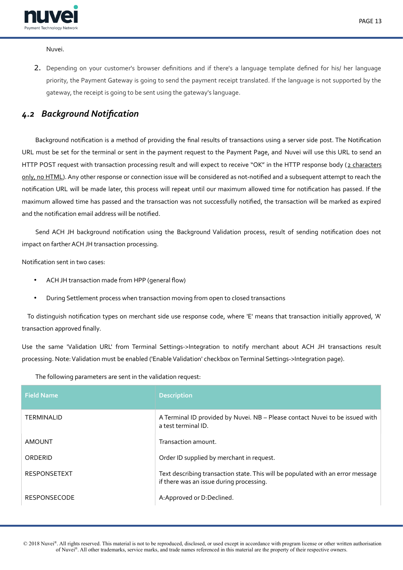

Nuvei.

2. Depending on your customer's browser defnitions and if there's a language template defned for his/ her language priority, the Payment Gateway is going to send the payment receipt translated. If the language is not supported by the gateway, the receipt is going to be sent using the gateway's language.

# <span id="page-12-0"></span>*4.2 Background Notifcation*

Background notifcation is a method of providing the fnal results of transactions using a server side post. The Notifcation URL must be set for the terminal or sent in the payment request to the Payment Page, and Nuvei will use this URL to send an HTTP POST request with transaction processing result and will expect to receive "OK" in the HTTP response body (2 characters only, no HTML). Any other response or connection issue will be considered as not-notified and a subsequent attempt to reach the notifcation URL will be made later, this process will repeat until our maximum allowed time for notifcation has passed. If the maximum allowed time has passed and the transaction was not successfully notifed, the transaction will be marked as expired and the notifcation email address will be notifed.

Send ACH JH background notifcation using the Background Validation process, result of sending notifcation does not impact on farther ACH JH transaction processing.

Notifcation sent in two cases:

- ACH JH transaction made from HPP (general flow)
- During Settlement process when transaction moving from open to closed transactions

 To distinguish notifcation types on merchant side use response code, where 'E' means that transaction initially approved, 'A' transaction approved fnally.

Use the same 'Validation URL' from Terminal Settings->Integration to notify merchant about ACH JH transactions result processing. Note: Validation must be enabled ('Enable Validation' checkbox on Terminal Settings->Integration page).

| The following parameters are sent in the validation request: |  |
|--------------------------------------------------------------|--|
|--------------------------------------------------------------|--|

| <b>Field Name</b>   | <b>Description</b>                                                                                                          |
|---------------------|-----------------------------------------------------------------------------------------------------------------------------|
| <b>TERMINALID</b>   | A Terminal ID provided by Nuvei. NB - Please contact Nuvei to be issued with<br>a test terminal ID.                         |
| AMOUNT              | Transaction amount.                                                                                                         |
| ORDERID             | Order ID supplied by merchant in request.                                                                                   |
| <b>RESPONSETEXT</b> | Text describing transaction state. This will be populated with an error message<br>if there was an issue during processing. |
| <b>RESPONSECODE</b> | A: Approved or D: Declined.                                                                                                 |

 © 2018 Nuvei®. All rights reserved. This material is not to be reproduced, disclosed, or used except in accordance with program license or other written authorisation of Nuvei®. All other trademarks, service marks, and trade names referenced in this material are the property of their respective owners.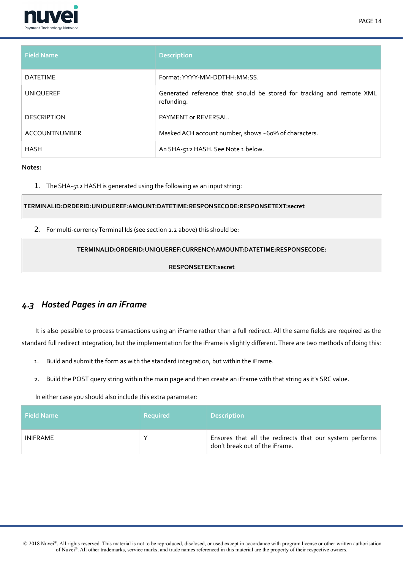



| <b>Field Name</b>  | <b>Description</b>                                                                  |
|--------------------|-------------------------------------------------------------------------------------|
| <b>DATETIME</b>    | Format: YYYY-MM-DDTHH:MM:SS.                                                        |
| <b>UNIQUEREF</b>   | Generated reference that should be stored for tracking and remote XML<br>refunding. |
| <b>DESCRIPTION</b> | PAYMENT or REVERSAL.                                                                |
| ACCOUNTNUMBER      | Masked ACH account number, shows ~60% of characters.                                |
| <b>HASH</b>        | An SHA-512 HASH. See Note 1 below.                                                  |

1. The SHA-512 HASH is generated using the following as an input string:

**TERMINALID:ORDERID:UNIQUEREF:AMOUNT:DATETIME:RESPONSECODE:RESPONSETEXT:secret**

2. For multi-currency Terminal Ids (see section 2.2 above) this should be:

# **TERMINALID:ORDERID:UNIQUEREF:CURRENCY:AMOUNT:DATETIME:RESPONSECODE:**

## **RESPONSETEXT:secret**

# <span id="page-13-0"></span>*4.3 Hosted Pages in an iFrame*

It is also possible to process transactions using an iFrame rather than a full redirect. All the same felds are required as the standard full redirect integration, but the implementation for the iFrame is slightly diferent. There are two methods of doing this:

- 1. Build and submit the form as with the standard integration, but within the iFrame.
- 2. Build the POST query string within the main page and then create an iFrame with that string as it's SRC value.

In either case you should also include this extra parameter:

| <b>Field Name</b> | <b>Required</b> | <b>Description</b>                                                                        |
|-------------------|-----------------|-------------------------------------------------------------------------------------------|
| <b>INIFRAME</b>   |                 | Ensures that all the redirects that our system performs<br>don't break out of the iFrame. |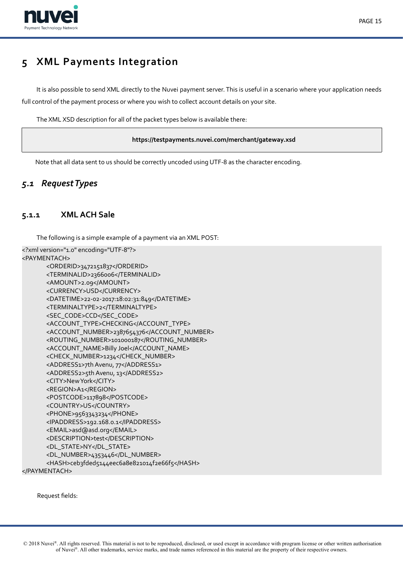

# <span id="page-14-2"></span>**5 XML Payments Integration**

It is also possible to send XML directly to the Nuvei payment server. This is useful in a scenario where your application needs full control of the payment process or where you wish to collect account details on your site.

The XML XSD description for all of the packet types below is available there:

## **https://testpayments.nuvei.com/merchant/gateway.xsd**

<span id="page-14-1"></span>Note that all data sent to us should be correctly uncoded using UTF-8 as the character encoding.

# *5.1 Request Types*

# **5.1.1 XML ACH Sale**

<span id="page-14-0"></span>The following is a simple example of a payment via an XML POST:

<?xml version="1.0" encoding="UTF-8"?> <PAYMENTACH> <ORDERID>3472151837</ORDERID> <TERMINALID>2366006</TERMINALID> <AMOUNT>2.09</AMOUNT> <CURRENCY>USD</CURRENCY> <DATETIME>22-02-2017:18:02:31:849</DATETIME> <TERMINALTYPE>2</TERMINALTYPE> <SEC\_CODE>CCD</SEC\_CODE> <ACCOUNT\_TYPE>CHECKING</ACCOUNT\_TYPE> <ACCOUNT\_NUMBER>2387654376</ACCOUNT\_NUMBER> <ROUTING\_NUMBER>101000187</ROUTING\_NUMBER> <ACCOUNT\_NAME>Billy Joel</ACCOUNT\_NAME> <CHECK\_NUMBER>1234</CHECK\_NUMBER> <ADDRESS1>7th Avenu, 77</ADDRESS1> <ADDRESS2>5th Avenu, 13</ADDRESS2> <CITY>New York</CITY> <REGION>A1</REGION> <POSTCODE>117898</POSTCODE> <COUNTRY>US</COUNTRY> <PHONE>9563343234</PHONE> <IPADDRESS>192.168.0.1</IPADDRESS> <EMAIL>asd@asd.org</EMAIL> <DESCRIPTION>test</DESCRIPTION> <DL\_STATE>NY</DL\_STATE> <DL\_NUMBER>4353446</DL\_NUMBER> <HASH>ceb3fded5144eec6a8e821014f2e66f5</HASH> </PAYMENTACH>

Request felds: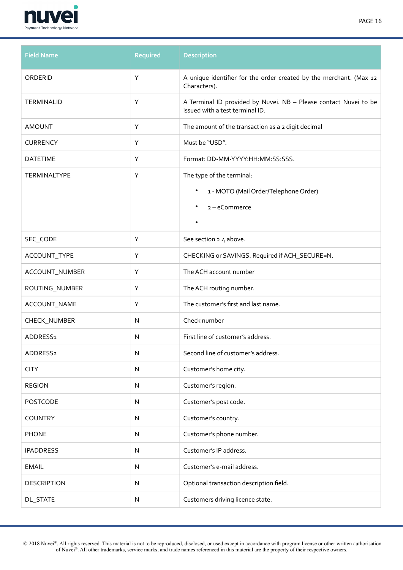

| <b>Field Name</b>    | Required  | <b>Description</b>                                                                                  |
|----------------------|-----------|-----------------------------------------------------------------------------------------------------|
| ORDERID              | Υ         | A unique identifier for the order created by the merchant. (Max 12<br>Characters).                  |
| TERMINALID           | Y         | A Terminal ID provided by Nuvei. NB - Please contact Nuvei to be<br>issued with a test terminal ID. |
| <b>AMOUNT</b>        | Υ         | The amount of the transaction as a 2 digit decimal                                                  |
| <b>CURRENCY</b>      | Υ         | Must be "USD".                                                                                      |
| <b>DATETIME</b>      | Υ         | Format: DD-MM-YYYY:HH:MM:SS:SSS.                                                                    |
| <b>TERMINALTYPE</b>  | Υ         | The type of the terminal:                                                                           |
|                      |           | 1 - MOTO (Mail Order/Telephone Order)<br>$\bullet$                                                  |
|                      |           | 2-eCommerce<br>$\bullet$                                                                            |
|                      |           | $\bullet$                                                                                           |
| SEC_CODE             | Υ         | See section 2.4 above.                                                                              |
| ACCOUNT_TYPE         | Υ         | CHECKING or SAVINGS. Required if ACH_SECURE=N.                                                      |
| ACCOUNT_NUMBER       | Υ         | The ACH account number                                                                              |
| ROUTING_NUMBER       | Υ         | The ACH routing number.                                                                             |
| ACCOUNT_NAME         | Υ         | The customer's first and last name.                                                                 |
| CHECK_NUMBER         | ${\sf N}$ | Check number                                                                                        |
| ADDRESS1             | N         | First line of customer's address.                                                                   |
| ADDRESS <sub>2</sub> | N         | Second line of customer's address.                                                                  |
| <b>CITY</b>          | ${\sf N}$ | Customer's home city.                                                                               |
| <b>REGION</b>        | ${\sf N}$ | Customer's region.                                                                                  |
| <b>POSTCODE</b>      | N         | Customer's post code.                                                                               |
| <b>COUNTRY</b>       | N         | Customer's country.                                                                                 |
| <b>PHONE</b>         | N         | Customer's phone number.                                                                            |
| <b>IPADDRESS</b>     | N         | Customer's IP address.                                                                              |
| <b>EMAIL</b>         | N         | Customer's e-mail address.                                                                          |
| <b>DESCRIPTION</b>   | ${\sf N}$ | Optional transaction description field.                                                             |
| <b>DL_STATE</b>      | N         | Customers driving licence state.                                                                    |

 © 2018 Nuvei®. All rights reserved. This material is not to be reproduced, disclosed, or used except in accordance with program license or other written authorisation of Nuvei®. All other trademarks, service marks, and trade names referenced in this material are the property of their respective owners.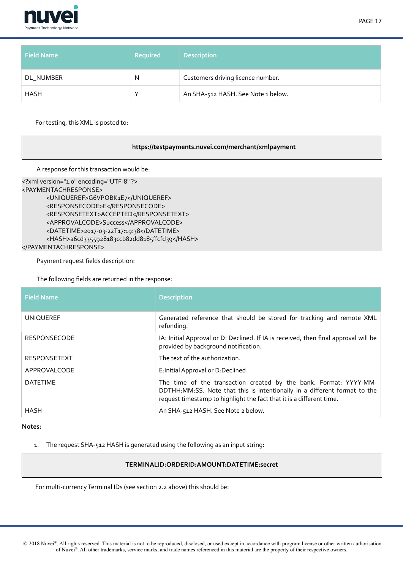

| <b>Field Name</b> | <b>Required</b> | <b>Description</b>                 |
|-------------------|-----------------|------------------------------------|
| DL NUMBER         | N               | Customers driving licence number.  |
| <b>HASH</b>       |                 | An SHA-512 HASH. See Note 1 below. |

For testing, this XML is posted to:

## **https://testpayments.nuvei.com/merchant/xmlpayment**

A response for this transaction would be:

```
<?xml version="1.0" encoding="UTF-8" ?>
<PAYMENTACHRESPONSE>
      <UNIQUEREF>G6VPOBK1E7</UNIQUEREF>
      <RESPONSECODE>E</RESPONSECODE>
      <RESPONSETEXT>ACCEPTED</RESPONSETEXT>
      <APPROVALCODE>Success</APPROVALCODE>
      <DATETIME>2017-03-22T17:19:38</DATETIME>
      <HASH>a6cd3355928183ccb82dd8185ffcfd39</HASH>
</PAYMENTACHRESPONSE>
```
Payment request felds description:

The following felds are returned in the response:

| <b>Field Name</b>   | <b>Description</b>                                                                                                                                                                                                     |
|---------------------|------------------------------------------------------------------------------------------------------------------------------------------------------------------------------------------------------------------------|
| <b>UNIQUEREF</b>    | Generated reference that should be stored for tracking and remote XML<br>refunding.                                                                                                                                    |
| <b>RESPONSECODE</b> | IA: Initial Approval or D: Declined. If IA is received, then final approval will be<br>provided by background notification.                                                                                            |
| <b>RESPONSETEXT</b> | The text of the authorization.                                                                                                                                                                                         |
| APPROVALCODE        | E: Initial Approval or D: Declined                                                                                                                                                                                     |
| <b>DATETIME</b>     | The time of the transaction created by the bank. Format: YYYY-MM-<br>DDTHH:MM:SS. Note that this is intentionally in a different format to the<br>request timestamp to highlight the fact that it is a different time. |
| HASH                | An SHA-512 HASH. See Note 2 below.                                                                                                                                                                                     |

**Notes:**

1. The request SHA-512 HASH is generated using the following as an input string:

#### **TERMINALID:ORDERID:AMOUNT:DATETIME:secret**

For multi-currency Terminal IDs (see section 2.2 above) this should be: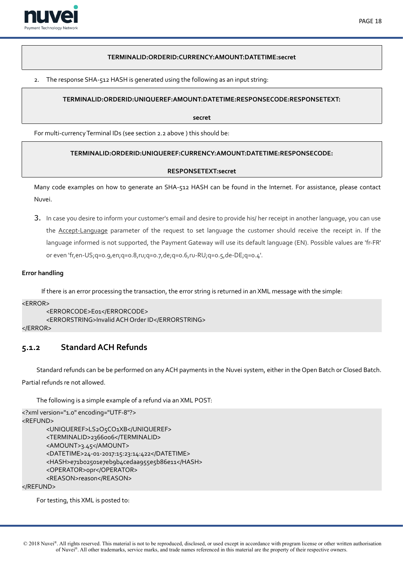

## **TERMINALID:ORDERID:CURRENCY:AMOUNT:DATETIME:secret**

2. The response SHA-512 HASH is generated using the following as an input string:

# **TERMINALID:ORDERID:UNIQUEREF:AMOUNT:DATETIME:RESPONSECODE:RESPONSETEXT:**

**secret**

For multi-currency Terminal IDs (see section 2.2 above ) this should be:

# **TERMINALID:ORDERID:UNIQUEREF:CURRENCY:AMOUNT:DATETIME:RESPONSECODE:**

## **RESPONSETEXT:secret**

Many code examples on how to generate an SHA-512 HASH can be found in the Internet. For assistance, please contact Nuvei.

3. In case you desire to inform your customer's email and desire to provide his/ her receipt in another language, you can use the Accept-Language parameter of the request to set language the customer should receive the receipt in. If the language informed is not supported, the Payment Gateway will use its default language (EN). Possible values are 'fr-FR' or even 'fr,en-US;q=0.9,en;q=0.8,ru;q=0.7,de;q=0.6,ru-RU;q=0.5,de-DE;q=0.4'.

# **Error handling**

If there is an error processing the transaction, the error string is returned in an XML message with the simple:

 $<$ ERROR $>$ 

```
<ERRORCODE>E01</ERRORCODE>
      <ERRORSTRING>Invalid ACH Order ID</ERRORSTRING>
</ERROR>
```
# <span id="page-17-0"></span>**5.1.2 Standard ACH Refunds**

Standard refunds can be be performed on any ACH payments in the Nuvei system, either in the Open Batch or Closed Batch. Partial refunds re not allowed.

The following is a simple example of a refund via an XML POST:

```
<?xml version="1.0" encoding="UTF-8"?>
<REFUND>
      <UNIQUEREF>LS2O5CO1XB</UNIQUEREF>
      <TERMINALID>2366006</TERMINALID>
      <AMOUNT>3.45</AMOUNT>
      <DATETIME>24-01-2017:15:23:14:422</DATETIME>
      <HASH>e71b02501e7eb9b4cedaa955e5b86e11</HASH>
      <OPERATOR>opr</OPERATOR>
      <REASON>reason</REASON>
```
</REFUND>

For testing, this XML is posted to: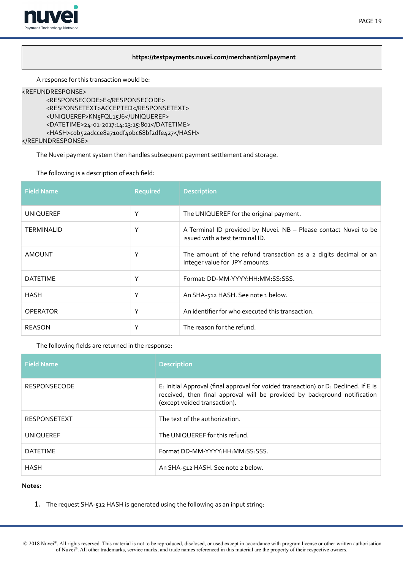

# **https://testpayments.nuvei.com/merchant/xmlpayment**

A response for this transaction would be:

#### <REFUNDRESPONSE>

```
<RESPONSECODE>E</RESPONSECODE>
<RESPONSETEXT>ACCEPTED</RESPONSETEXT>
<UNIQUEREF>KN5FQL15J6</UNIQUEREF>
<DATETIME>24-01-2017:14:23:15:801</DATETIME>
<HASH>cob52adcce8a710df40bc68bf2dfe427</HASH>
```
</REFUNDRESPONSE>

The Nuvei payment system then handles subsequent payment settlement and storage.

The following is a description of each feld:

| <b>Field Name</b> | <b>Required</b> | <b>Description</b>                                                                                  |
|-------------------|-----------------|-----------------------------------------------------------------------------------------------------|
| <b>UNIQUEREF</b>  | Υ               | The UNIQUEREF for the original payment.                                                             |
| <b>TERMINALID</b> | Υ               | A Terminal ID provided by Nuvei. NB - Please contact Nuvei to be<br>issued with a test terminal ID. |
| <b>AMOUNT</b>     | Υ               | The amount of the refund transaction as a 2 digits decimal or an<br>Integer value for JPY amounts.  |
| <b>DATETIME</b>   | Υ               | Format: DD-MM-YYYY:HH:MM:SS:SSS.                                                                    |
| <b>HASH</b>       | Υ               | An SHA-512 HASH. See note 1 below.                                                                  |
| <b>OPERATOR</b>   | Υ               | An identifier for who executed this transaction.                                                    |
| <b>REASON</b>     | Υ               | The reason for the refund.                                                                          |

The following felds are returned in the response:

| <b>Field Name</b>   | <b>Description</b>                                                                                                                                                                               |
|---------------------|--------------------------------------------------------------------------------------------------------------------------------------------------------------------------------------------------|
| <b>RESPONSECODE</b> | E: Initial Approval (final approval for voided transaction) or D: Declined. If E is<br>received, then final approval will be provided by background notification<br>(except voided transaction). |
| <b>RESPONSETEXT</b> | The text of the authorization.                                                                                                                                                                   |
| <b>UNIQUEREF</b>    | The UNIQUEREF for this refund.                                                                                                                                                                   |
| <b>DATETIME</b>     | Format DD-MM-YYYY:HH:MM:SS:SSS.                                                                                                                                                                  |
| <b>HASH</b>         | An SHA-512 HASH. See note 2 below.                                                                                                                                                               |

#### **Notes:**

1. The request SHA-512 HASH is generated using the following as an input string: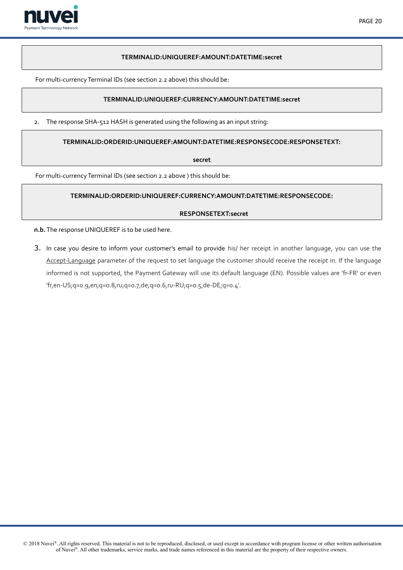

## **TERMINALID:UNIQUEREF:AMOUNT:DATETIME:secret**

For multi-currency Terminal IDs (see section 2.2 above) this should be:

# **TERMINALID:UNIQUEREF:CURRENCY:AMOUNT:DATETIME:secret**

2. The response SHA-512 HASH is generated using the following as an input string:

**TERMINALID:ORDERID:UNIQUEREF:AMOUNT:DATETIME:RESPONSECODE:RESPONSETEXT:**

**secret**

For multi-currency Terminal IDs (see section 2.2 above ) this should be:

## **TERMINALID:ORDERID:UNIQUEREF:CURRENCY:AMOUNT:DATETIME:RESPONSECODE:**

## **RESPONSETEXT:secret**

**n.b.** The response UNIQUEREF is to be used here.

3. In case you desire to inform your customer's email to provide his/ her receipt in another language, you can use the Accept-Language parameter of the request to set language the customer should receive the receipt in. If the language informed is not supported, the Payment Gateway will use its default language (EN). Possible values are 'fr-FR' or even 'fr,en-US;q=0.9,en;q=0.8,ru;q=0.7,de;q=0.6,ru-RU;q=0.5,de-DE;q=0.4'.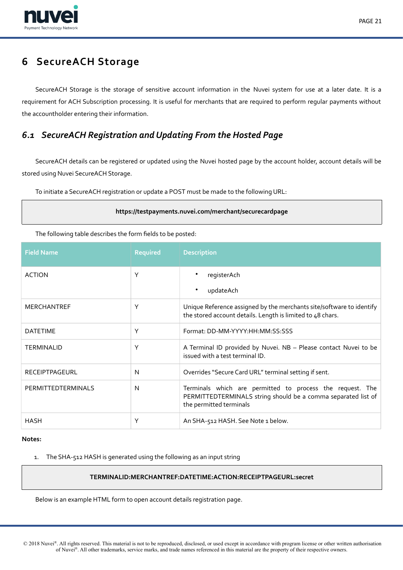

# <span id="page-20-1"></span>**6 SecureACH Storage**

SecureACH Storage is the storage of sensitive account information in the Nuvei system for use at a later date. It is a requirement for ACH Subscription processing. It is useful for merchants that are required to perform regular payments without the accountholder entering their information.

# <span id="page-20-0"></span>*6.1 SecureACH Registration and Updating From the Hosted Page*

SecureACH details can be registered or updated using the Nuvei hosted page by the account holder, account details will be stored using Nuvei SecureACH Storage.

To initiate a SecureACH registration or update a POST must be made to the following URL:

## **https://testpayments.nuvei.com/merchant/securecardpage**

The following table describes the form felds to be posted:

| <b>Field Name</b>     | <b>Required</b> | <b>Description</b>                                                                                                                                    |
|-----------------------|-----------------|-------------------------------------------------------------------------------------------------------------------------------------------------------|
| <b>ACTION</b>         | Υ               | $\bullet$<br>registerAch<br>updateAch<br>$\bullet$                                                                                                    |
| <b>MERCHANTREF</b>    | Υ               | Unique Reference assigned by the merchants site/software to identify<br>the stored account details. Length is limited to 48 chars.                    |
| <b>DATETIME</b>       | Υ               | Format: DD-MM-YYYY:HH:MM:SS:SSS                                                                                                                       |
| <b>TERMINALID</b>     | Υ               | A Terminal ID provided by Nuvei. NB - Please contact Nuvei to be<br>issued with a test terminal ID.                                                   |
| <b>RECEIPTPAGEURL</b> | N               | Overrides "Secure Card URL" terminal setting if sent.                                                                                                 |
| PERMITTEDTERMINALS    | N               | Terminals which are permitted to process the request. The<br>PERMITTEDTERMINALS string should be a comma separated list of<br>the permitted terminals |
| HASH                  | Υ               | An SHA-512 HASH. See Note 1 below.                                                                                                                    |

#### **Notes:**

1. The SHA-512 HASH is generated using the following as an input string

# **TERMINALID:MERCHANTREF:DATETIME:ACTION:RECEIPTPAGEURL:secret**

Below is an example HTML form to open account details registration page.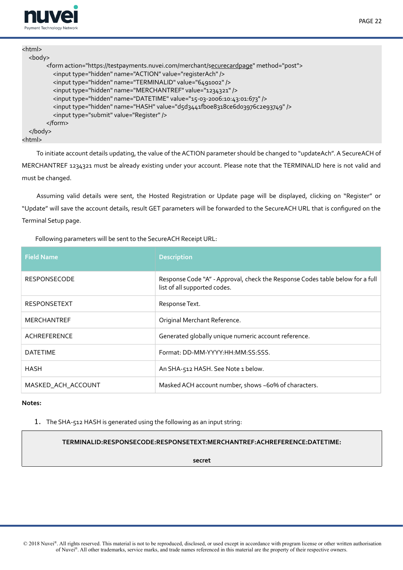

| <html></html>                                                                               |
|---------------------------------------------------------------------------------------------|
| $<$ body $>$                                                                                |
| <form action="https://testpayments.nuvei.com/merchant/securecardpage" method="post"></form> |
| <input name="ACTION" type="hidden" value="registerAch"/>                                    |
| <input name="TERMINALID" type="hidden" value="6491002"/>                                    |
| <input name="MERCHANTREF" type="hidden" value="1234321"/>                                   |
| <input name="DATETIME" type="hidden" value="15-03-2006:10:43:01:673"/>                      |
| <input name="HASH" type="hidden" value="d5d3441fboe8318ce6do3976c2e93749"/>                 |
| <input type="submit" value="Register"/>                                                     |
|                                                                                             |
| $<$ /body>                                                                                  |
| <html></html>                                                                               |

To initiate account details updating, the value of the ACTION parameter should be changed to "updateAch". A SecureACH of MERCHANTREF 1234321 must be already existing under your account. Please note that the TERMINALID here is not valid and must be changed.

Assuming valid details were sent, the Hosted Registration or Update page will be displayed, clicking on "Register" or "Update" will save the account details, result GET parameters will be forwarded to the SecureACH URL that is confgured on the Terminal Setup page.

Following parameters will be sent to the SecureACH Receipt URL:

| <b>Field Name</b>   | <b>Description</b>                                                                                            |
|---------------------|---------------------------------------------------------------------------------------------------------------|
| <b>RESPONSECODE</b> | Response Code "A" - Approval, check the Response Codes table below for a full<br>list of all supported codes. |
| <b>RESPONSETEXT</b> | Response Text.                                                                                                |
| <b>MERCHANTREF</b>  | Original Merchant Reference.                                                                                  |
| ACHREFERENCE        | Generated globally unique numeric account reference.                                                          |
| <b>DATETIME</b>     | Format: DD-MM-YYYY: HH: MM: SS: SSS.                                                                          |
| HASH                | An SHA-512 HASH. See Note 1 below.                                                                            |
| MASKED_ACH_ACCOUNT  | Masked ACH account number, shows ~60% of characters.                                                          |

### **Notes:**

1. The SHA-512 HASH is generated using the following as an input string:

# **TERMINALID:RESPONSECODE:RESPONSETEXT:MERCHANTREF:ACHREFERENCE:DATETIME:**

**secret**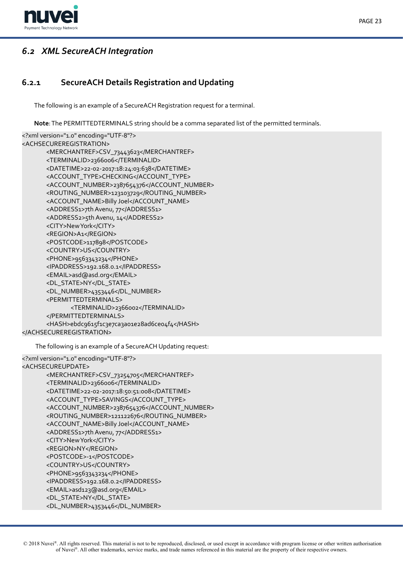

# PAGE 23

# <span id="page-22-1"></span>*6.2 XML SecureACH Integration*

# **6.2.1 SecureACH Details Registration and Updating**

<span id="page-22-0"></span>The following is an example of a SecureACH Registration request for a terminal.

**Note**: The PERMITTEDTERMINALS string should be a comma separated list of the permitted terminals.

```
<?xml version="1.0" encoding="UTF-8"?>
<ACHSECUREREGISTRATION>
      <MERCHANTREF>CSV_73443623</MERCHANTREF>
      <TERMINALID>2366006</TERMINALID>
      <DATETIME>22-02-2017:18:24:03:638</DATETIME>
      <ACCOUNT_TYPE>CHECKING</ACCOUNT_TYPE>
      <ACCOUNT_NUMBER>2387654376</ACCOUNT_NUMBER>
      <ROUTING_NUMBER>123103729</ROUTING_NUMBER>
      <ACCOUNT_NAME>Billy Joel</ACCOUNT_NAME>
      <ADDRESS1>7th Avenu, 77</ADDRESS1>
      <ADDRESS2>5th Avenu, 14</ADDRESS2>
      <CITY>New York</CITY>
      <REGION>A1</REGION>
      <POSTCODE>117898</POSTCODE>
      <COUNTRY>US</COUNTRY>
      <PHONE>9563343234</PHONE>
      <IPADDRESS>192.168.0.1</IPADDRESS>
      <EMAIL>asd@asd.org</EMAIL>
      <DL_STATE>NY</DL_STATE>
      <DL_NUMBER>4353446</DL_NUMBER>
      <PERMITTEDTERMINALS>
             <TERMINALID>2366002</TERMINALID>
      </PERMITTEDTERMINALS>
      <HASH>ebdc9615f1c3e7ca3a01e28ad6ce04f4</HASH>
</ACHSECUREREGISTRATION>
```
The following is an example of a SecureACH Updating request:

```
<?xml version="1.0" encoding="UTF-8"?>
<ACHSECUREUPDATE>
      <MERCHANTREF>CSV_73254705</MERCHANTREF>
      <TERMINALID>2366006</TERMINALID>
      <DATETIME>22-02-2017:18:50:51:008</DATETIME>
      <ACCOUNT_TYPE>SAVINGS</ACCOUNT_TYPE>
      <ACCOUNT_NUMBER>2387654376</ACCOUNT_NUMBER>
      <ROUTING_NUMBER>121122676</ROUTING_NUMBER>
      <ACCOUNT_NAME>Billy Joel</ACCOUNT_NAME>
      <ADDRESS1>7th Avenu, 77</ADDRESS1>
      <CITY>New York</CITY>
      <REGION>NY</REGION>
      <POSTCODE>-1</POSTCODE>
      <COUNTRY>US</COUNTRY>
      <PHONE>9563343234</PHONE>
      <IPADDRESS>192.168.0.2</IPADDRESS>
      <EMAIL>asd123@asd.org</EMAIL>
      <DL_STATE>NY</DL_STATE>
       <DL_NUMBER>4353446</DL_NUMBER>
```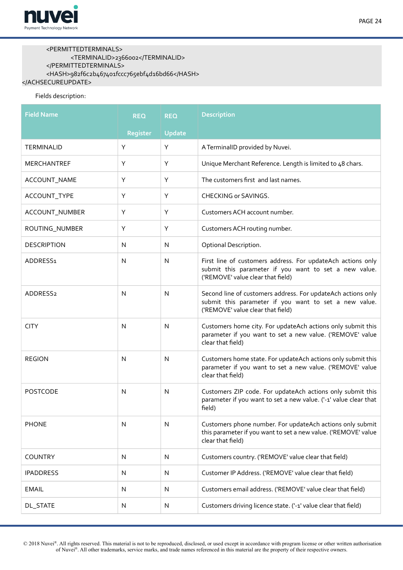

## <PERMITTEDTERMINALS> <TERMINALID>2366002</TERMINALID>  $<$ /PERMITTEDTERMINALS> <HASH>982f6c2b467401fccc765ebf4d16bd66</HASH> </ACHSECUREUPDATE>

## Fields description:

| <b>Field Name</b>    | <b>REQ</b> | <b>REQ</b>    | <b>Description</b>                                                                                                                                         |
|----------------------|------------|---------------|------------------------------------------------------------------------------------------------------------------------------------------------------------|
|                      | Register   | <b>Update</b> |                                                                                                                                                            |
| TERMINALID           | Υ          | Υ             | A TerminalID provided by Nuvei.                                                                                                                            |
| MERCHANTREF          | Υ          | Υ             | Unique Merchant Reference. Length is limited to 48 chars.                                                                                                  |
| ACCOUNT_NAME         | Υ          | Υ             | The customers first and last names.                                                                                                                        |
| ACCOUNT_TYPE         | Y          | Υ             | CHECKING or SAVINGS.                                                                                                                                       |
| ACCOUNT_NUMBER       | Y          | Y             | Customers ACH account number.                                                                                                                              |
| ROUTING_NUMBER       | Υ          | Υ             | Customers ACH routing number.                                                                                                                              |
| <b>DESCRIPTION</b>   | N          | N             | Optional Description.                                                                                                                                      |
| ADDRESS1             | N          | N             | First line of customers address. For updateAch actions only<br>submit this parameter if you want to set a new value.<br>('REMOVE' value clear that field)  |
| ADDRESS <sub>2</sub> | N          | N             | Second line of customers address. For updateAch actions only<br>submit this parameter if you want to set a new value.<br>('REMOVE' value clear that field) |
| <b>CITY</b>          | N          | N             | Customers home city. For updateAch actions only submit this<br>parameter if you want to set a new value. ('REMOVE' value<br>clear that field)              |
| <b>REGION</b>        | N          | N             | Customers home state. For updateAch actions only submit this<br>parameter if you want to set a new value. ('REMOVE' value<br>clear that field)             |
| <b>POSTCODE</b>      | N          | N             | Customers ZIP code. For updateAch actions only submit this<br>parameter if you want to set a new value. ('-1' value clear that<br>field)                   |
| <b>PHONE</b>         | N          | N             | Customers phone number. For updateAch actions only submit<br>this parameter if you want to set a new value. ('REMOVE' value<br>clear that field)           |
| <b>COUNTRY</b>       | N          | N             | Customers country. ('REMOVE' value clear that field)                                                                                                       |
| <b>IPADDRESS</b>     | N          | N             | Customer IP Address. ('REMOVE' value clear that field)                                                                                                     |
| <b>EMAIL</b>         | N          | N             | Customers email address. ('REMOVE' value clear that field)                                                                                                 |
| <b>DL_STATE</b>      | N          | N             | Customers driving licence state. ('-1' value clear that field)                                                                                             |

 © 2018 Nuvei®. All rights reserved. This material is not to be reproduced, disclosed, or used except in accordance with program license or other written authorisation of Nuvei®. All other trademarks, service marks, and trade names referenced in this material are the property of their respective owners.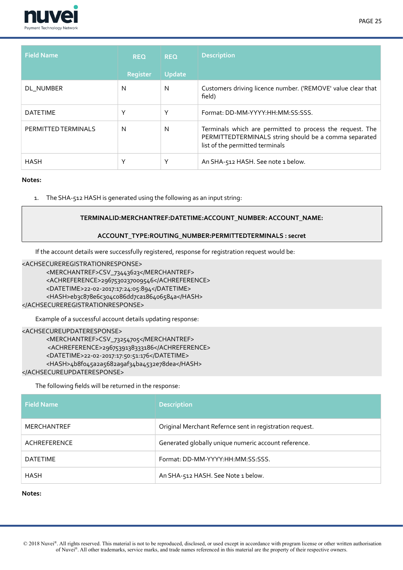

| <b>Field Name</b>   | <b>REQ</b>      | <b>REQ</b>    | <b>Description</b>                                                                                                                                    |
|---------------------|-----------------|---------------|-------------------------------------------------------------------------------------------------------------------------------------------------------|
|                     | <b>Register</b> | <b>Update</b> |                                                                                                                                                       |
| DL NUMBER           | N               | N             | Customers driving licence number. ('REMOVE' value clear that<br>field)                                                                                |
| <b>DATETIME</b>     | $\checkmark$    | Υ             | Format: DD-MM-YYYY:HH:MM:SS:SSS.                                                                                                                      |
| PERMITTED TERMINALS | N               | N             | Terminals which are permitted to process the request. The<br>PERMITTEDTERMINALS string should be a comma separated<br>list of the permitted terminals |
| <b>HASH</b>         |                 | Υ             | An SHA-512 HASH. See note 1 below.                                                                                                                    |

1. The SHA-512 HASH is generated using the following as an input string:

## **TERMINALID:MERCHANTREF:DATETIME:ACCOUNT\_NUMBER: ACCOUNT\_NAME:**

## **ACCOUNT\_TYPE:ROUTING\_NUMBER:PERMITTEDTERMINALS : secret**

If the account details were successfully registered, response for registration request would be:

#### <ACHSECUREREGISTRATIONRESPONSE>

<MERCHANTREF>CSV\_73443623</MERCHANTREF> <ACHREFERENCE>2967530237009546</ACHREFERENCE> <DATETIME>22-02-2017:17:24:05:894</DATETIME> <HASH>eb3c878e6c304c086dd7ca186406584a</HASH> </ACHSECUREREGISTRATIONRESPONSE>

Example of a successful account details updating response:

#### <ACHSECUREUPDATERESPONSE>

<MERCHANTREF>CSV\_73254705</MERCHANTREF> <ACHREFERENCE>2967539138333186</ACHREFERENCE> <DATETIME>22-02-2017:17:50:51:176</DATETIME> <HASH>4b8f045a2a5682a9af34ba4532e78dea</HASH> </ACHSECUREUPDATERESPONSE>

The following felds will be returned in the response:

| <b>Field Name</b>  | Description                                              |
|--------------------|----------------------------------------------------------|
| <b>MERCHANTREF</b> | Original Merchant Refernce sent in registration request. |
| ACHREFERENCE       | Generated globally unique numeric account reference.     |
| <b>DATETIME</b>    | Format: DD-MM-YYYY:HH:MM:SS:SSS.                         |
| <b>HASH</b>        | An SHA-512 HASH. See Note 1 below.                       |

**Notes:**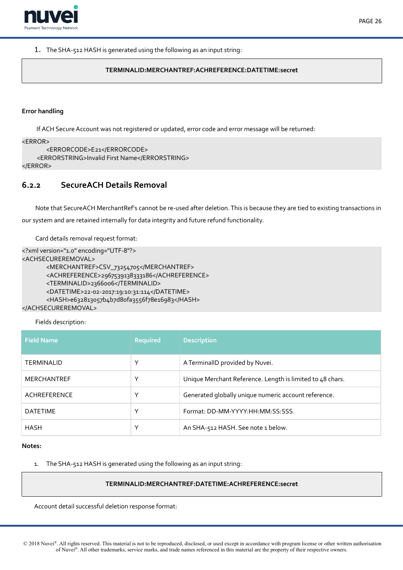

#### 1. The SHA-512 HASH is generated using the following as an input string:

## **TERMINALID:MERCHANTREF:ACHREFERENCE:DATETIME:secret**

#### **Error handling**

If ACH Secure Account was not registered or updated, error code and error message will be returned:

```
<ERROR>
```

```
<ERRORCODE>E21</ERRORCODE>
    <ERRORSTRING>Invalid First Name</ERRORSTRING>
</ERROR>
```
# <span id="page-25-0"></span>**6.2.2 SecureACH Details Removal**

Note that SecureACH MerchantRef's cannot be re-used after deletion. This is because they are tied to existing transactions in our system and are retained internally for data integrity and future refund functionality.

Card details removal request format:

```
<?xml version="1.0" encoding="UTF-8"?>
<ACHSECUREREMOVAL>
      <MERCHANTREF>CSV_73254705</MERCHANTREF>
      <ACHREFERENCE>2967539138333186</ACHREFERENCE>
      <TERMINALID>2366006</TERMINALID>
      <DATETIME>22-02-2017:19:10:31:114</DATETIME>
       <HASH>e632813057b4b7d8ofa3556f78e16983</HASH>
</ACHSECUREREMOVAL>
```
# Fields description:

| <b>Field Name</b>  | <b>Required</b> | <b>Description</b>                                        |
|--------------------|-----------------|-----------------------------------------------------------|
| <b>TERMINALID</b>  | Υ               | A TerminalID provided by Nuvei.                           |
| <b>MERCHANTREF</b> | ν               | Unique Merchant Reference. Length is limited to 48 chars. |
| ACHREFERENCE       | $\check{ }$     | Generated globally unique numeric account reference.      |
| <b>DATETIME</b>    | Υ               | Format: DD-MM-YYYY:HH:MM:SS:SSS.                          |
| <b>HASH</b>        | Υ               | An SHA-512 HASH. See note 1 below.                        |

#### **Notes:**

1. The SHA-512 HASH is generated using the following as an input string:

#### **TERMINALID:MERCHANTREF:DATETIME:ACHREFERENCE:secret**

Account detail successful deletion response format:

© 2018 Nuvei®. All rights reserved. This material is not to be reproduced, disclosed, or used except in accordance with program license or other written authorisation of Nuvei®. All other trademarks, service marks, and trade names referenced in this material are the property of their respective owners.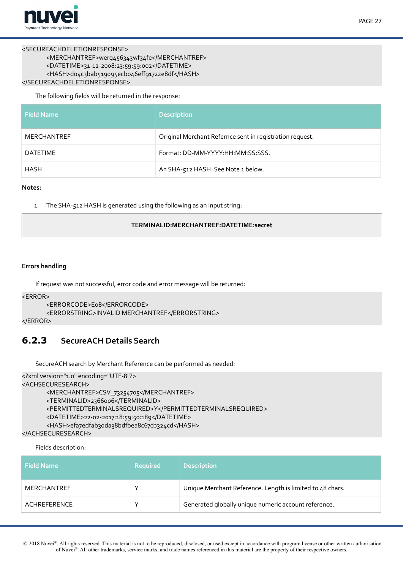

### <SECUREACHDELETIONRESPONSE>

```
<MERCHANTREF>werg456343wf34fe</MERCHANTREF>
      <DATETIME>31-12-2008:23:59:59:002</DATETIME>
      <HASH>do4c3bab519095ecb046eff91722e8df</HASH>
</SECUREACHDELETIONRESPONSE>
```
The following felds will be returned in the response:

| <b>Field Name</b> | <b>Description</b>                                       |
|-------------------|----------------------------------------------------------|
| MERCHANTREF       | Original Merchant Refernce sent in registration request. |
| DATETIME          | Format: DD-MM-YYYY:HH:MM:SS:SSS.                         |
| HASH              | An SHA-512 HASH. See Note 1 below.                       |

#### **Notes:**

1. The SHA-512 HASH is generated using the following as an input string:

## **TERMINALID:MERCHANTREF:DATETIME:secret**

## **Errors handling**

If request was not successful, error code and error message will be returned:

#### <ERROR>

```
<ERRORCODE>E08</ERRORCODE>
```
<ERRORSTRING>INVALID MERCHANTREF</ERRORSTRING>

#### </ERROR>

# **6.2.3 SecureACH Details Search**

<span id="page-26-0"></span>SecureACH search by Merchant Reference can be performed as needed:

```
<?xml version="1.0" encoding="UTF-8"?>
<ACHSECURESEARCH>
      <MERCHANTREF>CSV_73254705</MERCHANTREF>
      <TERMINALID>2366006</TERMINALID>
      <PERMITTEDTERMINALSREQUIRED>Y</PERMITTEDTERMINALSREQUIRED>
      <DATETIME>22-02-2017:18:59:50:189</DATETIME>
      <HASH>efa7edfab3oda38bdfbea8c67cb324cd</HASH>
</ACHSECURESEARCH>
```
## Fields description:

| <b>Field Name</b>  | <b>Required</b> | <b>Description</b>                                        |
|--------------------|-----------------|-----------------------------------------------------------|
| <b>MERCHANTREF</b> |                 | Unique Merchant Reference. Length is limited to 48 chars. |
| ACHREFERENCE       |                 | Generated globally unique numeric account reference.      |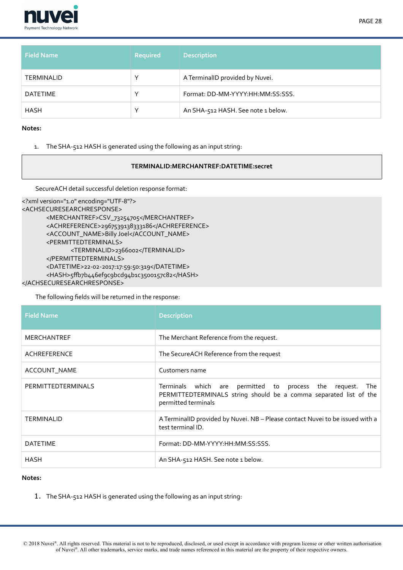

| <b>Field Name</b> | <b>Required</b> | <b>Description</b>                 |
|-------------------|-----------------|------------------------------------|
| <b>TERMINALID</b> |                 | A TerminalID provided by Nuvei.    |
| <b>DATETIME</b>   |                 | Format: DD-MM-YYYY:HH:MM:SS:SSS.   |
| <b>HASH</b>       |                 | An SHA-512 HASH. See note 1 below. |

1. The SHA-512 HASH is generated using the following as an input string:

# **TERMINALID:MERCHANTREF:DATETIME:secret**

SecureACH detail successful deletion response format:

```
<?xml version="1.0" encoding="UTF-8"?>
<ACHSECURESEARCHRESPONSE>
      <MERCHANTREF>CSV_73254705</MERCHANTREF>
      <ACHREFERENCE>2967539138333186</ACHREFERENCE>
      <ACCOUNT_NAME>Billy Joel</ACCOUNT_NAME>
      <PERMITTEDTERMINALS>
             <TERMINALID>2366002</TERMINALID>
      </PERMITTEDTERMINALS>
      <DATETIME>22-02-2017:17:59:50:319</DATETIME>
      <HASH>5ffb7b446ef9c9bcd94b1c3500157c82</HASH>
</ACHSECURESEARCHRESPONSE>
```
The following felds will be returned in the response:

| <b>Field Name</b>  | <b>Description</b>                                                                                                                                       |
|--------------------|----------------------------------------------------------------------------------------------------------------------------------------------------------|
| <b>MERCHANTREF</b> | The Merchant Reference from the request.                                                                                                                 |
| ACHREFERENCE       | The SecureACH Reference from the request                                                                                                                 |
| ACCOUNT_NAME       | Customers name                                                                                                                                           |
| PERMITTEDTERMINALS | Terminals which are permitted to process the request.<br>The<br>PERMITTEDTERMINALS string should be a comma separated list of the<br>permitted terminals |
| <b>TERMINALID</b>  | A TerminalID provided by Nuvei. NB - Please contact Nuvei to be issued with a<br>test terminal ID.                                                       |
| <b>DATETIME</b>    | Format: DD-MM-YYYY: HH: MM: SS: SSS.                                                                                                                     |
| <b>HASH</b>        | An SHA-512 HASH. See note 1 below.                                                                                                                       |

# **Notes:**

1. The SHA-512 HASH is generated using the following as an input string: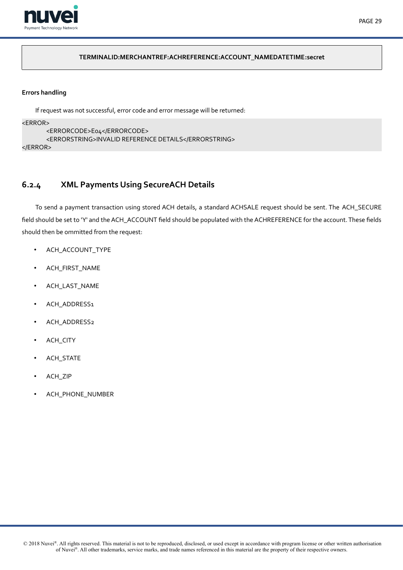

# **TERMINALID:MERCHANTREF:ACHREFERENCE:ACCOUNT\_NAMEDATETIME:secret**

# **Errors handling**

If request was not successful, error code and error message will be returned: <ERROR> <ERRORCODE>E04</ERRORCODE> <ERRORSTRING>INVALID REFERENCE DETAILS</ERRORSTRING> </ERROR>

# <span id="page-28-0"></span>**6.2.4 XML Payments Using SecureACH Details**

To send a payment transaction using stored ACH details, a standard ACHSALE request should be sent. The ACH\_SECURE feld should be set to 'Y' and the ACH\_ACCOUNT feld should be populated with the ACHREFERENCE for the account. These felds should then be ommitted from the request:

- ACH\_ACCOUNT\_TYPE
- ACH\_FIRST\_NAME
- ACH\_LAST\_NAME
- ACH\_ADDRESS1
- ACH\_ADDRESS2
- ACH\_CITY
- ACH\_STATE
- ACH\_ZIP
- ACH\_PHONE\_NUMBER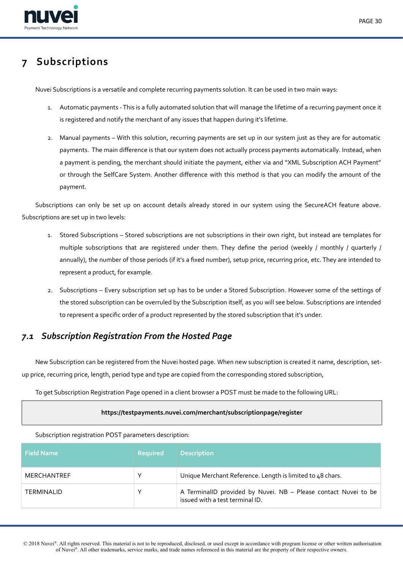

# <span id="page-29-1"></span>**7 Subscriptions**

Nuvei Subscriptions is a versatile and complete recurring payments solution. It can be used in two main ways:

- 1. Automatic payments This is a fully automated solution that will manage the lifetime of a recurring payment once it is registered and notify the merchant of any issues that happen during it's lifetime.
- 2. Manual payments With this solution, recurring payments are set up in our system just as they are for automatic payments. The main diference is that our system does not actually process payments automatically. Instead, when a payment is pending, the merchant should initiate the payment, either via and "XML Subscription ACH Payment" or through the SelfCare System. Another diference with this method is that you can modify the amount of the payment.

Subscriptions can only be set up on account details already stored in our system using the SecureACH feature above. Subscriptions are set up in two levels:

- 1. Stored Subscriptions Stored subscriptions are not subscriptions in their own right, but instead are templates for multiple subscriptions that are registered under them. They defne the period (weekly / monthly / quarterly / annually), the number of those periods (if it's a fxed number), setup price, recurring price, etc. They are intended to represent a product, for example.
- 2. Subscriptions Every subscription set up has to be under a Stored Subscription. However some of the settings of the stored subscription can be overruled by the Subscription itself, as you will see below. Subscriptions are intended to represent a specifc order of a product represented by the stored subscription that it's under.

# <span id="page-29-0"></span>*7.1 Subscription Registration From the Hosted Page*

New Subscription can be registered from the Nuvei hosted page. When new subscription is created it name, description, setup price, recurring price, length, period type and type are copied from the corresponding stored subscription,

To get Subscription Registration Page opened in a client browser a POST must be made to the following URL:

## **https://testpayments.nuvei.com/merchant/subscriptionpage/register**

Subscription registration POST parameters description:

| <b>Field Name</b>  | <b>Required</b> | <b>Description</b>                                                                                 |
|--------------------|-----------------|----------------------------------------------------------------------------------------------------|
| <b>MERCHANTREF</b> | Υ               | Unique Merchant Reference. Length is limited to 48 chars.                                          |
| <b>TERMINALID</b>  | ٧               | A TerminalID provided by Nuvei. NB - Please contact Nuvei to be<br>issued with a test terminal ID. |

 © 2018 Nuvei®. All rights reserved. This material is not to be reproduced, disclosed, or used except in accordance with program license or other written authorisation of Nuvei®. All other trademarks, service marks, and trade names referenced in this material are the property of their respective owners.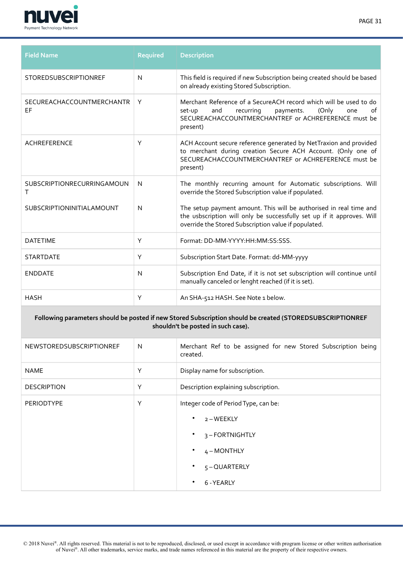

| <b>Field Name</b>                | <b>Required</b> | <b>Description</b>                                                                                                                                                                                    |
|----------------------------------|-----------------|-------------------------------------------------------------------------------------------------------------------------------------------------------------------------------------------------------|
| <b>STOREDSUBSCRIPTIONREF</b>     | $\mathsf{N}$    | This field is required if new Subscription being created should be based<br>on already existing Stored Subscription.                                                                                  |
| SECUREACHACCOUNTMERCHANTR<br>EF  | Y               | Merchant Reference of a SecureACH record which will be used to do<br>of<br>(Only<br>set-up<br>and<br>recurring<br>payments.<br>one<br>SECUREACHACCOUNTMERCHANTREF or ACHREFERENCE must be<br>present) |
| <b>ACHREFERENCE</b>              | Y               | ACH Account secure reference generated by NetTraxion and provided<br>to merchant during creation Secure ACH Account. (Only one of<br>SECUREACHACCOUNTMERCHANTREF or ACHREFERENCE must be<br>present)  |
| SUBSCRIPTIONRECURRINGAMOUN<br>т  | N               | The monthly recurring amount for Automatic subscriptions. Will<br>override the Stored Subscription value if populated.                                                                                |
| <b>SUBSCRIPTIONINITIALAMOUNT</b> | N               | The setup payment amount. This will be authorised in real time and<br>the usbscription will only be successfully set up if it approves. Will<br>override the Stored Subscription value if populated.  |
| <b>DATETIME</b>                  | Y               | Format: DD-MM-YYYY:HH:MM:SS:SSS.                                                                                                                                                                      |
| <b>STARTDATE</b>                 | Y               | Subscription Start Date. Format: dd-MM-yyyy                                                                                                                                                           |
| <b>ENDDATE</b>                   | N               | Subscription End Date, if it is not set subscription will continue until<br>manually canceled or lenght reached (if it is set).                                                                       |
| <b>HASH</b>                      | Y               | An SHA-512 HASH. See Note 1 below.                                                                                                                                                                    |

# **Following parameters should be posted if new Stored Subscription should be created (STOREDSUBSCRIPTIONREF shouldn't be posted in such case).**

| NEWSTOREDSUBSCRIPTIONREF | N | Merchant Ref to be assigned for new Stored Subscription being<br>created.                                                                            |  |
|--------------------------|---|------------------------------------------------------------------------------------------------------------------------------------------------------|--|
| <b>NAME</b>              | Y | Display name for subscription.                                                                                                                       |  |
| <b>DESCRIPTION</b>       | Y | Description explaining subscription.                                                                                                                 |  |
| PERIODTYPE               | Υ | Integer code of Period Type, can be:<br>2-WEEKLY<br>٠<br>3-FORTNIGHTLY<br>$\bullet$<br>$4 - MOMTHLY$<br>٠<br>$5 - QUARTERLY$<br>٠<br>6 - YEARLY<br>٠ |  |

 © 2018 Nuvei®. All rights reserved. This material is not to be reproduced, disclosed, or used except in accordance with program license or other written authorisation of Nuvei®. All other trademarks, service marks, and trade names referenced in this material are the property of their respective owners.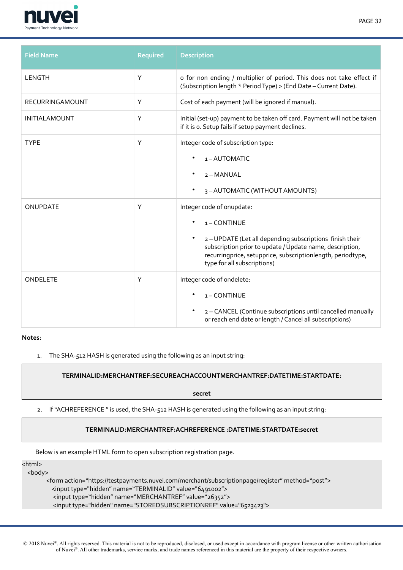

| <b>Field Name</b>      | <b>Required</b> | <b>Description</b>                                                                                                                                                                                                                                          |
|------------------------|-----------------|-------------------------------------------------------------------------------------------------------------------------------------------------------------------------------------------------------------------------------------------------------------|
| LENGTH                 | Y               | o for non ending / multiplier of period. This does not take effect if<br>(Subscription length * Period Type) > (End Date - Current Date).                                                                                                                   |
| <b>RECURRINGAMOUNT</b> | Y               | Cost of each payment (will be ignored if manual).                                                                                                                                                                                                           |
| <b>INITIALAMOUNT</b>   | Y               | Initial (set-up) payment to be taken off card. Payment will not be taken<br>if it is o. Setup fails if setup payment declines.                                                                                                                              |
| <b>TYPE</b>            | Y               | Integer code of subscription type:<br>1-AUTOMATIC<br>2 - MANUAL<br>3-AUTOMATIC (WITHOUT AMOUNTS)                                                                                                                                                            |
| <b>ONUPDATE</b>        | Y               | Integer code of onupdate:<br>1-CONTINUE<br>2-UPDATE (Let all depending subscriptions finish their<br>subscription prior to update / Update name, description,<br>recurringprice, setupprice, subscriptionlength, periodtype,<br>type for all subscriptions) |
| ONDELETE               | Y               | Integer code of ondelete:<br>1-CONTINUE<br>2 - CANCEL (Continue subscriptions until cancelled manually<br>or reach end date or length / Cancel all subscriptions)                                                                                           |

1. The SHA-512 HASH is generated using the following as an input string:

# **TERMINALID:MERCHANTREF:SECUREACHACCOUNTMERCHANTREF:DATETIME:STARTDATE:**

**secret**

# 2. If "ACHREFERENCE" is used, the SHA-512 HASH is generated using the following as an input string:

## **TERMINALID:MERCHANTREF:ACHREFERENCE :DATETIME:STARTDATE:secret**

Below is an example HTML form to open subscription registration page.

<html>

<body>

 <form action="https://testpayments.nuvei.com/merchant/subscriptionpage/register" method="post">i <input type="hidden" name="TERMINALID" value="6491002"> <input type="hidden" name="MERCHANTREF" value="26352"> <input type="hidden" name="STOREDSUBSCRIPTIONREF" value="6523423">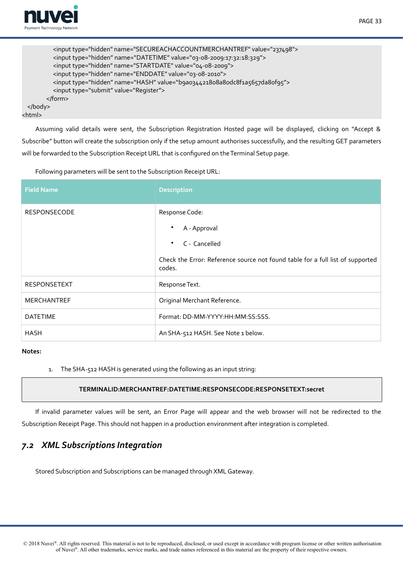

<html>

```
PAGE 33
```

```
<input type="hidden" name="SECUREACHACCOUNTMERCHANTREF" value="237498">
        <input type="hidden" name="DATETIME" value="03-08-2009:17:32:18:329">
        <input type="hidden" name="STARTDATE" value="04-08-2009">
         <input type="hidden" name="ENDDATE" value="03-08-2010">i
        <input type="hidden" name="HASH" value="b9a034421808a80dc8f1a5657da80f95">
         <input type="submit" value="Register">i
      </form>
</body>
```
Assuming valid details were sent, the Subscription Registration Hosted page will be displayed, clicking on "Accept & Subscribe" button will create the subscription only if the setup amount authorises successfully, and the resulting GET parameters will be forwarded to the Subscription Receipt URL that is confgured on the Terminal Setup page.

Following parameters will be sent to the Subscription Receipt URL:

| <b>Field Name</b>   | <b>Description</b>                                                                       |  |
|---------------------|------------------------------------------------------------------------------------------|--|
| <b>RESPONSECODE</b> | Response Code:                                                                           |  |
|                     | A - Approval<br>٠                                                                        |  |
|                     | C - Cancelled<br>$\bullet$                                                               |  |
|                     | Check the Error: Reference source not found table for a full list of supported<br>codes. |  |
| <b>RESPONSETEXT</b> | Response Text.                                                                           |  |
| <b>MERCHANTREF</b>  | Original Merchant Reference.                                                             |  |
| <b>DATETIME</b>     | Format: DD-MM-YYYY:HH:MM:SS:SSS.                                                         |  |
| <b>HASH</b>         | An SHA-512 HASH. See Note 1 below.                                                       |  |

#### **Notes:**

1. The SHA-512 HASH is generated using the following as an input string:

# <span id="page-32-1"></span>**TERMINALID:MERCHANTREF:DATETIME:RESPONSECODE:RESPONSETEXT:secret**

If invalid parameter values will be sent, an Error Page will appear and the web browser will not be redirected to the Subscription Receipt Page. This should not happen in a production environment after integration is completed.

# <span id="page-32-0"></span>*7.2 XML Subscriptions Integration*

Stored Subscription and Subscriptions can be managed through XML Gateway.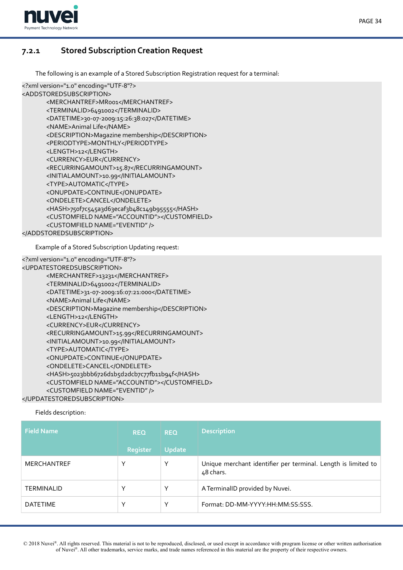

# **7.2.1 Stored Subscription Creation Request**

<span id="page-33-0"></span>The following is an example of a Stored Subscription Registration request for a terminal:

```
<?xml version="1.0" encoding="UTF-8"?>
<ADDSTOREDSUBSCRIPTION>
      <MERCHANTREF>MR001</MERCHANTREF>
      <TERMINALID>6491002</TERMINALID>
      <DATETIME>30-07-2009:15:26:38:027</DATETIME>
      <NAME>Animal Life</NAME>
      <DESCRIPTION>Magazine membership</DESCRIPTION>
      <PERIODTYPE>MONTHLY</PERIODTYPE>
      <LENGTH>12</LENGTH>
      <CURRENCY>EUR</CURRENCY>
      <RECURRINGAMOUNT>15.87</RECURRINGAMOUNT>
      <INITIALAMOUNT>10.99</INITIALAMOUNT>
      <TYPE>AUTOMATIC</TYPE>
      <ONUPDATE>CONTINUE</ONUPDATE>
      <ONDELETE>CANCEL</ONDELETE>
      <HASH>750f7c545a3d63ecaf3b48c149b95555</HASH>
      <CUSTOMFIELD NAME="ACCOUNTID"></CUSTOMFIELD>
      <CUSTOMFIELD NAME="EVENTID" />
</ADDSTOREDSUBSCRIPTION>
```
Example of a Stored Subscription Updating request:

```
<?xml version="1.0" encoding="UTF-8"?>
<UPDATESTOREDSUBSCRIPTION>
      <MERCHANTREF>13231</MERCHANTREF>
      <TERMINALID>6491002</TERMINALID>
      <DATETIME>31-07-2009:16:07:21:000</DATETIME>
      <NAME>Animal Life</NAME>
      <DESCRIPTION>Magazine membership</DESCRIPTION>
      <LENGTH>12</LENGTH>
      <CURRENCY>EUR</CURRENCY>
      <RECURRINGAMOUNT>15.99</RECURRINGAMOUNT>
      <INITIALAMOUNT>10.99</INITIALAMOUNT>
      <TYPE>AUTOMATIC</TYPE>
      <ONUPDATE>CONTINUE</ONUPDATE>
      <ONDELETE>CANCEL</ONDELETE>
      <HASH>5023bbb6726d1b5d2dcb7c77fb11b94f</HASH>
      <CUSTOMFIELD NAME="ACCOUNTID"></CUSTOMFIELD>
      <CUSTOMFIELD NAME="EVENTID" />
```
</UPDATESTOREDSUBSCRIPTION>

Fields description:

| <b>Field Name</b>  | <b>REQ</b>  | <b>REQ</b>    | <b>Description</b>                                                         |
|--------------------|-------------|---------------|----------------------------------------------------------------------------|
|                    | Register    | <b>Update</b> |                                                                            |
| <b>MERCHANTREF</b> |             | v             | Unique merchant identifier per terminal. Length is limited to<br>48 chars. |
| <b>TERMINALID</b>  |             | ν             | A TerminalID provided by Nuvei.                                            |
| <b>DATETIME</b>    | $\check{ }$ | v             | Format: DD-MM-YYYY:HH:MM:SS:SSS.                                           |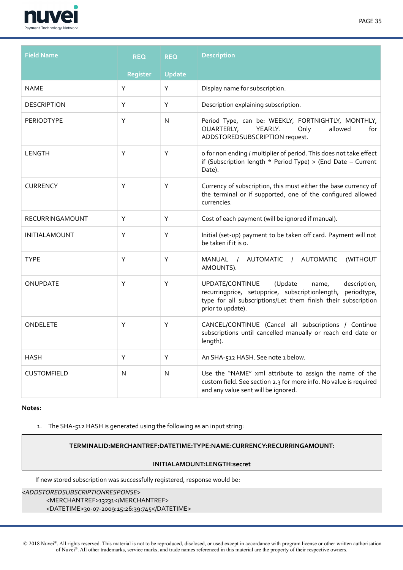

| <b>Field Name</b>    | <b>REQ</b> | <b>REQ</b>    | <b>Description</b>                                                                                                                                                                                          |
|----------------------|------------|---------------|-------------------------------------------------------------------------------------------------------------------------------------------------------------------------------------------------------------|
|                      | Register   | <b>Update</b> |                                                                                                                                                                                                             |
| <b>NAME</b>          | Υ          | Y             | Display name for subscription.                                                                                                                                                                              |
| <b>DESCRIPTION</b>   | Y          | Y             | Description explaining subscription.                                                                                                                                                                        |
| <b>PERIODTYPE</b>    | Υ          | N             | Period Type, can be: WEEKLY, FORTNIGHTLY, MONTHLY,<br>QUARTERLY,<br>YEARLY.<br>Only<br>allowed<br>for<br>ADDSTOREDSUBSCRIPTION request.                                                                     |
| <b>LENGTH</b>        | Υ          | Υ             | o for non ending / multiplier of period. This does not take effect<br>if (Subscription length $*$ Period Type) > (End Date - Current<br>Date).                                                              |
| <b>CURRENCY</b>      | Y          | Υ             | Currency of subscription, this must either the base currency of<br>the terminal or if supported, one of the configured allowed<br>currencies.                                                               |
| RECURRINGAMOUNT      | Υ          | Υ             | Cost of each payment (will be ignored if manual).                                                                                                                                                           |
| <b>INITIALAMOUNT</b> | Y          | Υ             | Initial (set-up) payment to be taken off card. Payment will not<br>be taken if it is o.                                                                                                                     |
| <b>TYPE</b>          | Υ          | Υ             | / AUTOMATIC<br>/ AUTOMATIC<br>(WITHOUT<br>MANUAL<br>AMOUNTS).                                                                                                                                               |
| ONUPDATE             | Υ          | Υ             | UPDATE/CONTINUE<br>(Update<br>description,<br>name,<br>recurringprice, setupprice, subscriptionlength,<br>periodtype,<br>type for all subscriptions/Let them finish their subscription<br>prior to update). |
| ONDELETE             | Υ          | Y             | CANCEL/CONTINUE (Cancel all subscriptions / Continue<br>subscriptions until cancelled manually or reach end date or<br>length).                                                                             |
| <b>HASH</b>          | Y          | Y             | An SHA-512 HASH. See note 1 below.                                                                                                                                                                          |
| <b>CUSTOMFIELD</b>   | N          | N             | Use the "NAME" xml attribute to assign the name of the<br>custom field. See section 2.3 for more info. No value is required<br>and any value sent will be ignored.                                          |

1. The SHA-512 HASH is generated using the following as an input string:

## **TERMINALID:MERCHANTREF:DATETIME:TYPE:NAME:CURRENCY:RECURRINGAMOUNT:**

## **INITIALAMOUNT:LENGTH:secret**

If new stored subscription was successfully registered, response would be:

# <*ADDSTOREDSUBSCRIPTIONRESPONSE*>i <MERCHANTREF>13231</MERCHANTREF> <DATETIME>30-07-2009:15:26:39:745</DATETIME>

 © 2018 Nuvei®. All rights reserved. This material is not to be reproduced, disclosed, or used except in accordance with program license or other written authorisation of Nuvei®. All other trademarks, service marks, and trade names referenced in this material are the property of their respective owners.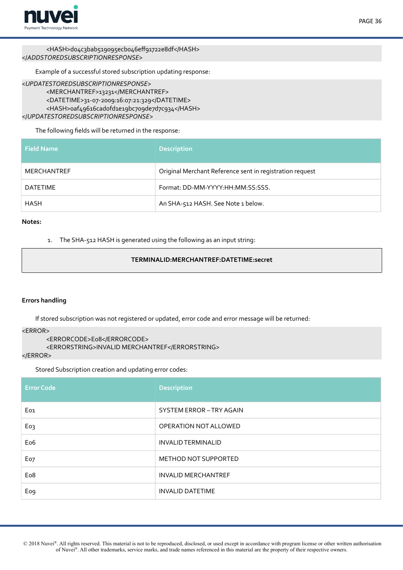

<HASH>do4c3bab519095ecbo46eff91722e8df</HASH> </*ADDSTOREDSUBSCRIPTIONRESPONSE*>i

Example of a successful stored subscription updating response:

#### <*UPDATESTOREDSUBSCRIPTIONRESPONSE*>i

<MERCHANTREF>13231</MERCHANTREF> <DATETIME>31-07-2009:16:07:21:329</DATETIME> <HASH>oaf49616cadofd1e19bc709de7d7c934</HASH> </*UPDATESTOREDSUBSCRIPTIONRESPONSE*>i

# The following felds will be returned in the response:

| <b>Field Name</b> | <b>Description</b>                                       |
|-------------------|----------------------------------------------------------|
| MERCHANTREF       | Original Merchant Reference sent in registration request |
| <b>DATETIME</b>   | Format: DD-MM-YYYY:HH:MM:SS:SSS.                         |
| <b>HASH</b>       | An SHA-512 HASH. See Note 1 below.                       |

#### **Notes:**

1. The SHA-512 HASH is generated using the following as an input string:

## **TERMINALID:MERCHANTREF:DATETIME:secret**

## **Errors handling**

If stored subscription was not registered or updated, error code and error message will be returned:

#### $<$ ERROR $>$

```
<ERRORCODE>E08</ERRORCODE>
```
<ERRORSTRING>INVALID MERCHANTREF</ERRORSTRING>

#### </ERROR>

Stored Subscription creation and updating error codes:

| <b>Error Code</b> | <b>Description</b>          |
|-------------------|-----------------------------|
| Eo <sub>1</sub>   | SYSTEM ERROR-TRY AGAIN      |
| Eo3               | OPERATION NOT ALLOWED       |
| Eo <sub>6</sub>   | <b>INVALID TERMINALID</b>   |
| Eo7               | <b>METHOD NOT SUPPORTED</b> |
| Eo <sub>8</sub>   | <b>INVALID MERCHANTREF</b>  |
| Eo <sub>9</sub>   | <b>INVALID DATETIME</b>     |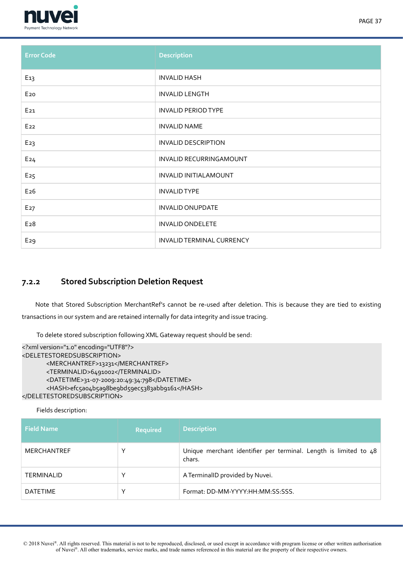

| <b>Error Code</b> | <b>Description</b>         |
|-------------------|----------------------------|
| E <sub>13</sub>   | <b>INVALID HASH</b>        |
| E <sub>20</sub>   | <b>INVALID LENGTH</b>      |
| E <sub>21</sub>   | <b>INVALID PERIOD TYPE</b> |
| $E_{22}$          | <b>INVALID NAME</b>        |
| E <sub>23</sub>   | <b>INVALID DESCRIPTION</b> |
| E24               | INVALID RECURRINGAMOUNT    |
| E <sub>25</sub>   | INVALID INITIALAMOUNT      |
| E26               | <b>INVALID TYPE</b>        |
| E <sub>27</sub>   | <b>INVALID ONUPDATE</b>    |
| E <sub>28</sub>   | <b>INVALID ONDELETE</b>    |
| E <sub>29</sub>   | INVALID TERMINAL CURRENCY  |

# <span id="page-36-0"></span>**7.2.2 Stored Subscription Deletion Request**

Note that Stored Subscription MerchantRef's cannot be re-used after deletion. This is because they are tied to existing transactions in our system and are retained internally for data integrity and issue tracing.

To delete stored subscription following XML Gateway request should be send:

```
<?xml version="1.0" encoding="UTF8"?>
<DELETESTOREDSUBSCRIPTION>
       <MERCHANTREF>13231</MERCHANTREF>
       <TERMINALID>6491002</TERMINALID>
       <DATETIME>31-07-2009:20:49:34:798</DATETIME>
       <HASH>efc5a04b5a98be9bd59ec5383abb9161</HASH>
</DELETESTOREDSUBSCRIPTION>
```

```
Fields description:
```

| <b>Field Name</b>  | Required     | <b>Description</b>                                                         |
|--------------------|--------------|----------------------------------------------------------------------------|
| <b>MERCHANTREF</b> | $\checkmark$ | Unique merchant identifier per terminal. Length is limited to 48<br>chars. |
| <b>TERMINALID</b>  | $\checkmark$ | A TerminalID provided by Nuvei.                                            |
| <b>DATETIME</b>    | v            | Format: DD-MM-YYYY:HH:MM:SS:SSS.                                           |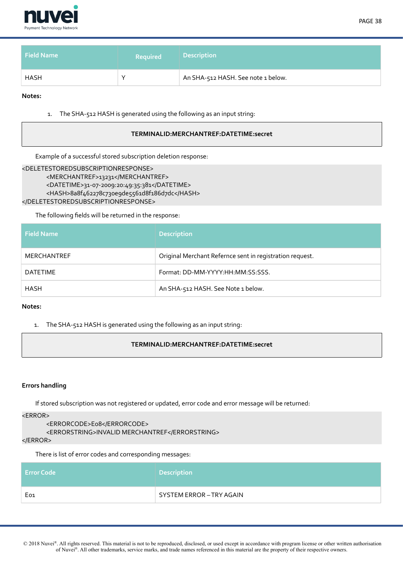

| <b>Field Name</b> | <b>Required</b> | <b>Description</b>                 |
|-------------------|-----------------|------------------------------------|
| HASH              | $\check{ }$     | An SHA-512 HASH. See note 1 below. |

1. The SHA-512 HASH is generated using the following as an input string:

#### **TERMINALID:MERCHANTREF:DATETIME:secret**

Example of a successful stored subscription deletion response:

```
<DELETESTOREDSUBSCRIPTIONRESPONSE>
      <MERCHANTREF>13231</MERCHANTREF>
      <DATETIME>31-07-2009:20:49:35:381</DATETIME>
      <HASH>8a8f462278c730e9de5561d8f186d7dc</HASH>
</DELETESTOREDSUBSCRIPTIONRESPONSE>
```
The following felds will be returned in the response:

| <b>Field Name</b> | <b>Description</b>                                       |
|-------------------|----------------------------------------------------------|
| MERCHANTREF       | Original Merchant Refernce sent in registration request. |
| <b>DATETIME</b>   | Format: DD-MM-YYYY: HH: MM: SS: SSS.                     |
| HASH              | An SHA-512 HASH. See Note 1 below.                       |

**Notes:**

1. The SHA-512 HASH is generated using the following as an input string:

## **TERMINALID:MERCHANTREF:DATETIME:secret**

#### **Errors handling**

If stored subscription was not registered or updated, error code and error message will be returned:

<ERROR>

```
<ERRORCODE>E08</ERRORCODE>
```

```
<ERRORSTRING>INVALID MERCHANTREF</ERRORSTRING>
```
 $<$ /ERROR>

There is list of error codes and corresponding messages:

| <b>Error Code</b> | <b>Description</b>       |
|-------------------|--------------------------|
| Eo1               | SYSTEM ERROR - TRY AGAIN |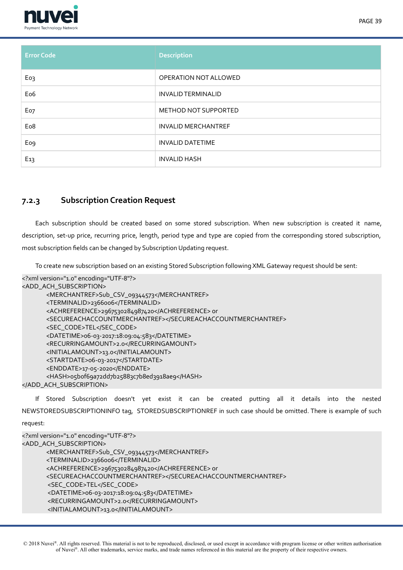

| <b>.</b><br>Payment Technology Network |                            |
|----------------------------------------|----------------------------|
| <b>Error Code</b>                      | <b>Description</b>         |
| Eo3                                    | OPERATION NOT ALLOWED      |
| Eo <sub>6</sub>                        | <b>INVALID TERMINALID</b>  |
| Eo7                                    | METHOD NOT SUPPORTED       |
| Eo8                                    | <b>INVALID MERCHANTREF</b> |
| Eo <sub>9</sub>                        | <b>INVALID DATETIME</b>    |
| E13                                    | <b>INVALID HASH</b>        |

# <span id="page-38-0"></span>**7.2.3 Subscription Creation Request**

Each subscription should be created based on some stored subscription. When new subscription is created it name, description, set-up price, recurring price, length, period type and type are copied from the corresponding stored subscription, most subscription felds can be changed by Subscription Updating request.

To create new subscription based on an existing Stored Subscription following XML Gateway request should be sent:

```
<?xml version="1.0" encoding="UTF-8"?>
<ADD_ACH_SUBSCRIPTION>
      <MERCHANTREF>Sub_CSV_09344573</MERCHANTREF>
      <TERMINALID>2366006</TERMINALID>
      <ACHREFERENCE>2967530284987420</ACHREFERENCE>or
      <SECUREACHACCOUNTMERCHANTREF></SECUREACHACCOUNTMERCHANTREF>
      <SEC_CODE>TEL</SEC_CODE>
      <DATETIME>06-03-2017:18:09:04:583</DATETIME>
      <RECURRINGAMOUNT>2.0</RECURRINGAMOUNT>
      <INITIALAMOUNT>13.0</INITIALAMOUNT>
      <STARTDATE>06-03-2017</STARTDATE>
      <ENDDATE>17-05-2020</ENDDATE>
      <HASH>o5bof69a72dd7b25883c7b8ed3918ae9</HASH>
</ADD_ACH_SUBSCRIPTION>
```
If Stored Subscription doesn't yet exist it can be created putting all it details into the nested NEWSTOREDSUBSCRIPTIONINFO tag, STOREDSUBSCRIPTIONREF in such case should be omitted. There is example of such request:

```
<?xml version="1.0" encoding="UTF-8"?>
<ADD_ACH_SUBSCRIPTION>
      <MERCHANTREF>Sub_CSV_09344573</MERCHANTREF>
      <TERMINALID>2366006</TERMINALID>
      <ACHREFERENCE>2967530284987420</ACHREFERENCE>or
      <SECUREACHACCOUNTMERCHANTREF></SECUREACHACCOUNTMERCHANTREF>
       <SEC_CODE>TEL</SEC_CODE>
       <DATETIME>06-03-2017:18:09:04:583</DATETIME>
       <RECURRINGAMOUNT>2.0</RECURRINGAMOUNT>
       <INITIALAMOUNT>13.0</INITIALAMOUNT>
```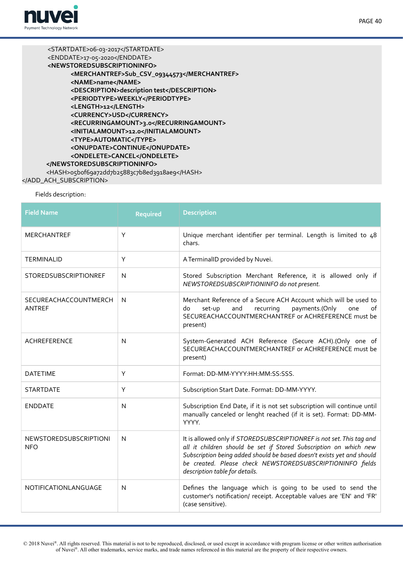

<STARTDATE>06-03-2017</STARTDATE> <ENDDATE>17-05-2020</ENDDATE> **<NEWSTOREDSUBSCRIPTIONINFO> <MERCHANTREF>Sub\_CSV\_09344573</MERCHANTREF> <NAME>name</NAME> <DESCRIPTION>description test</DESCRIPTION> <PERIODTYPE>WEEKLY</PERIODTYPE> <LENGTH>12</LENGTH> <CURRENCY>USD</CURRENCY> <RECURRINGAMOUNT>3.0</RECURRINGAMOUNT> <INITIALAMOUNT>12.0</INITIALAMOUNT> <TYPE>AUTOMATIC</TYPE> <ONUPDATE>CONTINUE</ONUPDATE> <ONDELETE>CANCEL</ONDELETE> </NEWSTOREDSUBSCRIPTIONINFO>** <HASH>o5bof69a72dd7b25883c7b8ed3918ae9</HASH> </ADD\_ACH\_SUBSCRIPTION>

# Fields description:

| <b>Field Name</b>                           | <b>Required</b> | <b>Description</b>                                                                                                                                                                                                                                                                                                 |
|---------------------------------------------|-----------------|--------------------------------------------------------------------------------------------------------------------------------------------------------------------------------------------------------------------------------------------------------------------------------------------------------------------|
| <b>MERCHANTREF</b>                          | Y               | Unique merchant identifier per terminal. Length is limited to 48<br>chars.                                                                                                                                                                                                                                         |
| <b>TERMINALID</b>                           | Υ               | A TerminalID provided by Nuvei.                                                                                                                                                                                                                                                                                    |
| STOREDSUBSCRIPTIONREF                       | N               | Stored Subscription Merchant Reference, it is allowed only if<br>NEWSTOREDSUBSCRIPTIONINFO do not present.                                                                                                                                                                                                         |
| SECUREACHACCOUNTMERCH<br><b>ANTREF</b>      | N               | Merchant Reference of a Secure ACH Account which will be used to<br>and<br>recurring<br>payments.(Only<br>do<br>set-up<br>one<br>of<br>SECUREACHACCOUNTMERCHANTREF or ACHREFERENCE must be<br>present)                                                                                                             |
| <b>ACHREFERENCE</b>                         | N               | System-Generated ACH Reference (Secure ACH).(Only one of<br>SECUREACHACCOUNTMERCHANTREF or ACHREFERENCE must be<br>present)                                                                                                                                                                                        |
| <b>DATETIME</b>                             | Y               | Format: DD-MM-YYYY:HH:MM:SS:SSS.                                                                                                                                                                                                                                                                                   |
| <b>STARTDATE</b>                            | Y               | Subscription Start Date. Format: DD-MM-YYYY.                                                                                                                                                                                                                                                                       |
| <b>ENDDATE</b>                              | N               | Subscription End Date, if it is not set subscription will continue until<br>manually canceled or lenght reached (if it is set). Format: DD-MM-<br>YYYY.                                                                                                                                                            |
| <b>NEWSTOREDSUBSCRIPTIONI</b><br><b>NFO</b> | N               | It is allowed only if STOREDSUBSCRIPTIONREF is not set. This tag and<br>all it children should be set if Stored Subscription on which new<br>Subscription being added should be based doesn't exists yet and should<br>be created. Please check NEWSTOREDSUBSCRIPTIONINFO fields<br>description table for details. |
| NOTIFICATIONLANGUAGE                        | N               | Defines the language which is going to be used to send the<br>customer's notification/ receipt. Acceptable values are 'EN' and 'FR'<br>(case sensitive).                                                                                                                                                           |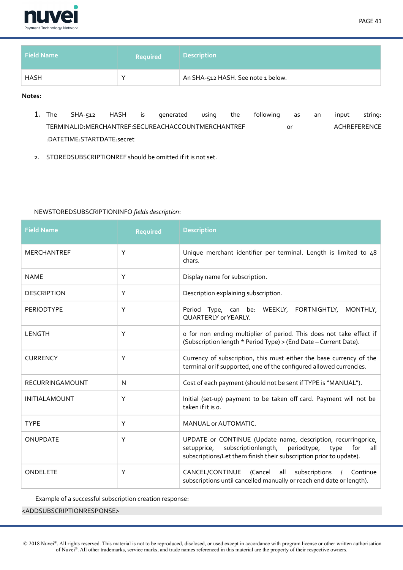

| <b>Field Name</b> | <b>Required</b> | <b>Description</b>                 |
|-------------------|-----------------|------------------------------------|
| <b>HASH</b>       |                 | An SHA-512 HASH. See note 1 below. |

- 1. The SHA-512 HASH is generated using the following as an input string: TERMINALID:MERCHANTREF:SECUREACHACCOUNTMERCHANTREF or ACHREFERENCE :DATETIME:STARTDATE:secret
- 2. STOREDSUBSCRIPTIONREF should be omitted if it is not set.

## NEWSTOREDSUBSCRIPTIONINFO *felds description*:

| <b>Field Name</b>      | <b>Required</b> | <b>Description</b>                                                                                                                                                                                       |
|------------------------|-----------------|----------------------------------------------------------------------------------------------------------------------------------------------------------------------------------------------------------|
| <b>MERCHANTREF</b>     | Υ               | Unique merchant identifier per terminal. Length is limited to 48<br>chars.                                                                                                                               |
| <b>NAME</b>            | Υ               | Display name for subscription.                                                                                                                                                                           |
| <b>DESCRIPTION</b>     | Y               | Description explaining subscription.                                                                                                                                                                     |
| <b>PERIODTYPE</b>      | Υ               | Period Type, can be: WEEKLY, FORTNIGHTLY, MONTHLY,<br>QUARTERLY or YEARLY.                                                                                                                               |
| LENGTH                 | Υ               | o for non ending multiplier of period. This does not take effect if<br>(Subscription length * Period Type) > (End Date - Current Date).                                                                  |
| <b>CURRENCY</b>        | Υ               | Currency of subscription, this must either the base currency of the<br>terminal or if supported, one of the configured allowed currencies.                                                               |
| <b>RECURRINGAMOUNT</b> | N               | Cost of each payment (should not be sent if TYPE is "MANUAL").                                                                                                                                           |
| <b>INITIALAMOUNT</b>   | Υ               | Initial (set-up) payment to be taken off card. Payment will not be<br>taken if it is o.                                                                                                                  |
| <b>TYPE</b>            | Υ               | MANUAL or AUTOMATIC.                                                                                                                                                                                     |
| <b>ONUPDATE</b>        | Y               | UPDATE or CONTINUE (Update name, description, recurringprice,<br>setupprice, subscriptionlength, periodtype,<br>for<br>type<br>all<br>subscriptions/Let them finish their subscription prior to update). |
| ONDELETE               | Υ               | CANCEL/CONTINUE (Cancel all subscriptions<br>/ Continue<br>subscriptions until cancelled manually or reach end date or length).                                                                          |

Example of a successful subscription creation response:

<ADDSUBSCRIPTIONRESPONSE>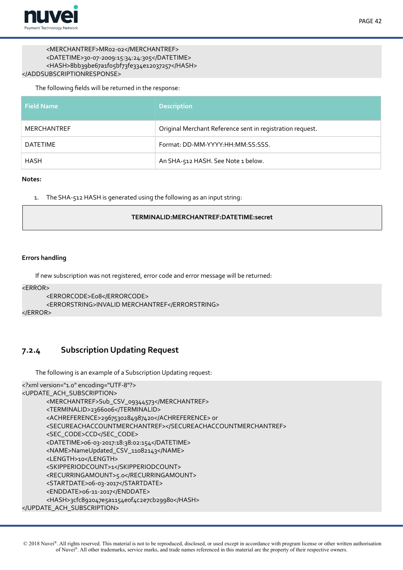

## <MERCHANTREF>MR02-02</MERCHANTREF> <DATETIME>30-07-2009:15:34:24:305</DATETIME> <HASH>8bb39be67a1f05bf73fe334e12037257</HASH> </ADDSUBSCRIPTIONRESPONSE>

The following felds will be returned in the response:

| <b>Field Name</b> | <b>Description</b>                                        |
|-------------------|-----------------------------------------------------------|
| MERCHANTREF       | Original Merchant Reference sent in registration request. |
| DATETIME          | Format: DD-MM-YYYY:HH:MM:SS:SSS.                          |
| <b>HASH</b>       | An SHA-512 HASH. See Note 1 below.                        |

#### **Notes:**

1. The SHA-512 HASH is generated using the following as an input string:

## **TERMINALID:MERCHANTREF:DATETIME:secret**

## **Errors handling**

If new subscription was not registered, error code and error message will be returned:

<ERROR>

```
<ERRORCODE>E08</ERRORCODE>
      <ERRORSTRING>INVALID MERCHANTREF</ERRORSTRING>
</ERROR>
```
# **7.2.4 Subscription Updating Request**

<span id="page-41-0"></span>The following is an example of a Subscription Updating request:

```
<?xml version="1.0" encoding="UTF-8"?>
<UPDATE_ACH_SUBSCRIPTION>
      <MERCHANTREF>Sub_CSV_09344573</MERCHANTREF>
      <TERMINALID>2366006</TERMINALID>
      <ACHREFERENCE>2967530284987420</ACHREFERENCE>or
      <SECUREACHACCOUNTMERCHANTREF></SECUREACHACCOUNTMERCHANTREF>
      <SEC_CODE>CCD</SEC_CODE>
      <DATETIME>06-03-2017:18:38:02:154</DATETIME>
      <NAME>NameUpdated_CSV_11082143</NAME>
      <LENGTH>10</LENGTH>
      <SKIPPERIODCOUNT>1</SKIPPERIODCOUNT>
      <RECURRINGAMOUNT>5.0</RECURRINGAMOUNT>
      <STARTDATE>06-03-2017</STARTDATE>
      <ENDDATE>06-11-2017</ENDDATE>
      <HASH>3cfc892047e5a1154eof4c2e7cb2998o</HASH>
</UPDATE_ACH_SUBSCRIPTION>
```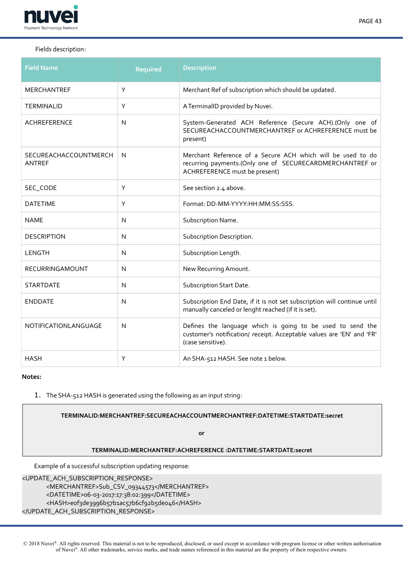

# Fields description:

| <b>Field Name</b>                      | <b>Required</b> | <b>Description</b>                                                                                                                                       |
|----------------------------------------|-----------------|----------------------------------------------------------------------------------------------------------------------------------------------------------|
| MERCHANTREF                            | Y               | Merchant Ref of subscription which should be updated.                                                                                                    |
| <b>TERMINALID</b>                      | Y               | A TerminalID provided by Nuvei.                                                                                                                          |
| <b>ACHREFERENCE</b>                    | N               | System-Generated ACH Reference (Secure ACH).(Only one of<br>SECUREACHACCOUNTMERCHANTREF or ACHREFERENCE must be<br>present)                              |
| SECUREACHACCOUNTMERCH<br><b>ANTREF</b> | N               | Merchant Reference of a Secure ACH which will be used to do<br>recurring payments.(Only one of SECURECARDMERCHANTREF or<br>ACHREFERENCE must be present) |
| SEC_CODE                               | Y               | See section 2.4 above.                                                                                                                                   |
| <b>DATETIME</b>                        | Y               | Format: DD-MM-YYYY:HH:MM:SS:SSS.                                                                                                                         |
| <b>NAME</b>                            | $\mathsf{N}$    | Subscription Name.                                                                                                                                       |
| <b>DESCRIPTION</b>                     | $\mathsf{N}$    | Subscription Description.                                                                                                                                |
| LENGTH                                 | $\mathsf{N}$    | Subscription Length.                                                                                                                                     |
| <b>RECURRINGAMOUNT</b>                 | $\mathsf{N}$    | New Recurring Amount.                                                                                                                                    |
| <b>STARTDATE</b>                       | N               | Subscription Start Date.                                                                                                                                 |
| <b>ENDDATE</b>                         | N               | Subscription End Date, if it is not set subscription will continue until<br>manually canceled or lenght reached (if it is set).                          |
| NOTIFICATIONLANGUAGE                   | $\mathsf{N}$    | Defines the language which is going to be used to send the<br>customer's notification/ receipt. Acceptable values are 'EN' and 'FR'<br>(case sensitive). |
| <b>HASH</b>                            | Υ               | An SHA-512 HASH. See note 1 below.                                                                                                                       |

#### **Notes:**

1. The SHA-512 HASH is generated using the following as an input string:

**TERMINALID:MERCHANTREF:SECUREACHACCOUNTMERCHANTREF:DATETIME:STARTDATE:secret**

**or** 

## **TERMINALID:MERCHANTREF:ACHREFERENCE :DATETIME:STARTDATE:secret**

Example of a successful subscription updating response:

<UPDATE\_ACH\_SUBSCRIPTION\_RESPONSE>

<MERCHANTREF>Sub\_CSV\_09344573</MERCHANTREF> <DATETIME>06-03-2017:17:38:02:399</DATETIME> <HASH>eof3de3996b57b1ac57b6cf92b5de046</HASH> </UPDATE\_ACH\_SUBSCRIPTION\_RESPONSE>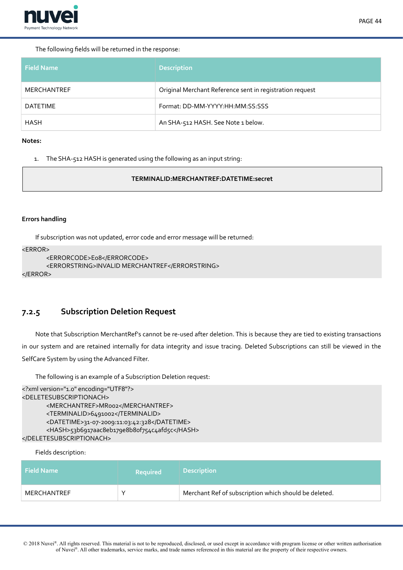

### The following felds will be returned in the response:

| Field Name      | <b>Description</b>                                       |
|-----------------|----------------------------------------------------------|
| MERCHANTREF     | Original Merchant Reference sent in registration request |
| <b>DATETIME</b> | Format: DD-MM-YYYY:HH:MM:SS:SSS                          |
| HASH            | An SHA-512 HASH. See Note 1 below.                       |

#### **Notes:**

1. The SHA-512 HASH is generated using the following as an input string:

#### **TERMINALID:MERCHANTREF:DATETIME:secret**

#### **Errors handling**

If subscription was not updated, error code and error message will be returned:

```
<FRROR>
```

```
<ERRORCODE>Eo8</ERRORCODE>
<ERRORSTRING>INVALID MERCHANTREF</ERRORSTRING>
```

```
</ERROR>
```
# <span id="page-43-0"></span>**7.2.5 Subscription Deletion Request**

Note that Subscription MerchantRef's cannot be re-used after deletion. This is because they are tied to existing transactions in our system and are retained internally for data integrity and issue tracing. Deleted Subscriptions can still be viewed in the SelfCare System by using the Advanced Filter.

The following is an example of a Subscription Deletion request:

```
<?xml version="1.0" encoding="UTF8"?>
<DELETESUBSCRIPTIONACH>
      <MERCHANTREF>MR002</MERCHANTREF>
      <TERMINALID>6491002</TERMINALID>
      <DATETIME>31-07-2009:11:03:42:328</DATETIME>
      <HASH>53b6917aac8eb179e8b8of754c4afd5c</HASH>
</DELETESUBSCRIPTIONACH>
```
Fields description:

| <b>Field Name</b> | <b>Required</b> | <b>Description</b>                                    |
|-------------------|-----------------|-------------------------------------------------------|
| MERCHANTREF       |                 | Merchant Ref of subscription which should be deleted. |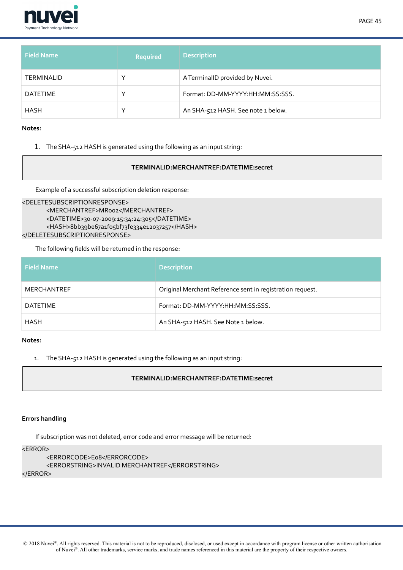

| <b>Field Name</b> | Required     | <b>Description</b>                 |
|-------------------|--------------|------------------------------------|
| <b>TERMINALID</b> | v            | A TerminalID provided by Nuvei.    |
| DATETIME          | v            | Format: DD-MM-YYYY:HH:MM:SS:SSS.   |
| HASH              | $\checkmark$ | An SHA-512 HASH. See note 1 below. |

1. The SHA-512 HASH is generated using the following as an input string:

#### **TERMINALID:MERCHANTREF:DATETIME:secret**

Example of a successful subscription deletion response:

# <DELETESUBSCRIPTIONRESPONSE> <MERCHANTREF>MR002</MERCHANTREF> <DATETIME>30-07-2009:15:34:24:305</DATETIME> <HASH>8bb39be67a1fo5bf73fe334e12037257</HASH> </DELETESUBSCRIPTIONRESPONSE>

The following felds will be returned in the response:

| <b>Field Name</b> | <b>Description</b>                                        |
|-------------------|-----------------------------------------------------------|
| MERCHANTREF       | Original Merchant Reference sent in registration request. |
| DATETIME          | Format: DD-MM-YYYY:HH:MM:SS:SSS.                          |
| HASH              | An SHA-512 HASH. See Note 1 below.                        |

### **Notes:**

1. The SHA-512 HASH is generated using the following as an input string:

## **TERMINALID:MERCHANTREF:DATETIME:secret**

## **Errors handling**

If subscription was not deleted, error code and error message will be returned:

# $<$ ERROR $>$

```
<ERRORCODE>E08</ERRORCODE>
      <ERRORSTRING>INVALID MERCHANTREF</ERRORSTRING>
</ERROR>
```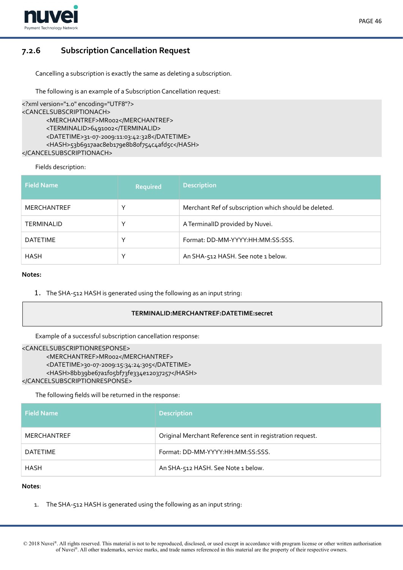

# PAGE 46

# **7.2.6 Subscription Cancellation Request**

<span id="page-45-0"></span>Cancelling a subscription is exactly the same as deleting a subscription.

The following is an example of a Subscription Cancellation request:

```
<?xml version="1.0" encoding="UTF8"?>
<CANCELSUBSCRIPTIONACH>
      <MERCHANTREF>MR002</MERCHANTREF>
      <TERMINALID>6491002</TERMINALID>
      <DATETIME>31-07-2009:11:03:42:328</DATETIME>
      <HASH>53b6917aac8eb179e8b8of754c4afd5c</HASH>
</CANCELSUBSCRIPTIONACH>
```
Fields description:

| <b>Field Name</b>  | <b>Required</b> | <b>Description</b>                                    |
|--------------------|-----------------|-------------------------------------------------------|
| <b>MERCHANTREF</b> | $\checkmark$    | Merchant Ref of subscription which should be deleted. |
| <b>TERMINALID</b>  | $\checkmark$    | A TerminalID provided by Nuvei.                       |
| <b>DATETIME</b>    | $\check{ }$     | Format: DD-MM-YYYY:HH:MM:SS:SSS.                      |
| <b>HASH</b>        | $\checkmark$    | An SHA-512 HASH. See note 1 below.                    |

#### **Notes:**

1. The SHA-512 HASH is generated using the following as an input string:

## **TERMINALID:MERCHANTREF:DATETIME:secret**

```
Example of a successful subscription cancellation response:
```

```
<CANCELSUBSCRIPTIONRESPONSE>
      <MERCHANTREF>MR002</MERCHANTREF>
      <DATETIME>30-07-2009:15:34:24:305</DATETIME>
      <HASH>8bb39be67a1fo5bf73fe334e12037257</HASH>
</CANCELSUBSCRIPTIONRESPONSE>
```
The following felds will be returned in the response:

| <b>Field Name</b> | <b>Description</b>                                        |
|-------------------|-----------------------------------------------------------|
| MERCHANTREF       | Original Merchant Reference sent in registration request. |
| <b>DATETIME</b>   | Format: DD-MM-YYYY-HH:MM:SS:SSS.                          |
| HASH              | An SHA-512 HASH. See Note 1 below.                        |

## **Notes**:

1. The SHA-512 HASH is generated using the following as an input string: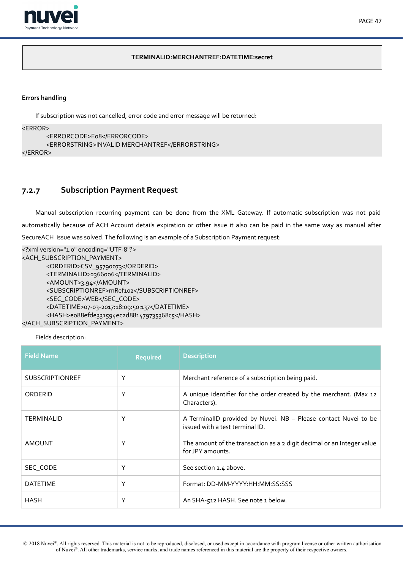

## **TERMINALID:MERCHANTREF:DATETIME:secret**

# **Errors handling**

If subscription was not cancelled, error code and error message will be returned:

```
<ERROR>
```

```
<ERRORCODE>E08</ERRORCODE>
<ERRORSTRING>INVALID MERCHANTREF</ERRORSTRING>
```
 $<$ /ERROR>

# <span id="page-46-0"></span>**7.2.7 Subscription Payment Request**

Manual subscription recurring payment can be done from the XML Gateway. If automatic subscription was not paid automatically because of ACH Account details expiration or other issue it also can be paid in the same way as manual after SecureACH issue was solved. The following is an example of a Subscription Payment request:

```
<?xml version="1.0" encoding="UTF-8"?>
<ACH_SUBSCRIPTION_PAYMENT>
      <ORDERID>CSV_95790073</ORDERID>
      <TERMINALID>2366006</TERMINALID>
      <AMOUNT>3.94</AMOUNT>
      <SUBSCRIPTIONREF>mRef102</SUBSCRIPTIONREF>
      <SEC_CODE>WEB</SEC_CODE>
      <DATETIME>07-03-2017:18:09:50:137</DATETIME>
      <HASH>e088efde331594ec2d881479735368c5</HASH>
</ACH_SUBSCRIPTION_PAYMENT>
```
Fields description:

| <b>Field Name</b>      | <b>Required</b> | <b>Description</b>                                                                                 |
|------------------------|-----------------|----------------------------------------------------------------------------------------------------|
| <b>SUBSCRIPTIONREF</b> | Υ               | Merchant reference of a subscription being paid.                                                   |
| ORDERID                | Υ               | A unique identifier for the order created by the merchant. (Max 12<br>Characters).                 |
| <b>TERMINALID</b>      | Υ               | A TerminalID provided by Nuvei. NB - Please contact Nuvei to be<br>issued with a test terminal ID. |
| <b>AMOUNT</b>          | Υ               | The amount of the transaction as a 2 digit decimal or an Integer value<br>for JPY amounts.         |
| SEC CODE               | Υ               | See section 2.4 above.                                                                             |
| <b>DATETIME</b>        | Υ               | Format: DD-MM-YYYY: HH: MM: SS: SSS                                                                |
| <b>HASH</b>            | Υ               | An SHA-512 HASH. See note 1 below.                                                                 |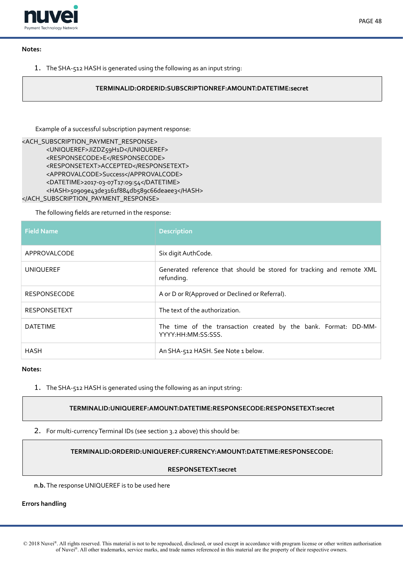

1. The SHA-512 HASH is generated using the following as an input string:

## **TERMINALID:ORDERID:SUBSCRIPTIONREF:AMOUNT:DATETIME:secret**

Example of a successful subscription payment response:

```
<ACH_SUBSCRIPTION_PAYMENT_RESPONSE>
      <UNIQUEREF>JIZDZ59H1D</UNIQUEREF>
      <RESPONSECODE>E</RESPONSECODE>
      <RESPONSETEXT>ACCEPTED</RESPONSETEXT>
      <APPROVALCODE>Success</APPROVALCODE>
      <DATETIME>2017-03-07T17:09:54</DATETIME>
      <HASH>50909e43de3161f884db589c66deaee3</HASH>
</ACH_SUBSCRIPTION_PAYMENT_RESPONSE>
```
The following felds are returned in the response:

| <b>Field Name</b>   | <b>Description</b>                                                                    |
|---------------------|---------------------------------------------------------------------------------------|
| APPROVALCODE        | Six digit AuthCode.                                                                   |
| <b>UNIQUEREF</b>    | Generated reference that should be stored for tracking and remote XML<br>refunding.   |
| <b>RESPONSECODE</b> | A or D or R(Approved or Declined or Referral).                                        |
| <b>RESPONSETEXT</b> | The text of the authorization.                                                        |
| <b>DATETIME</b>     | The time of the transaction created by the bank. Format: DD-MM-<br>YYYY:HH:MM:SS:SSS. |
| <b>HASH</b>         | An SHA-512 HASH. See Note 1 below.                                                    |

## **Notes:**

1. The SHA-512 HASH is generated using the following as an input string:

## **TERMINALID:UNIQUEREF:AMOUNT:DATETIME:RESPONSECODE:RESPONSETEXT:secret**

2. For multi-currency Terminal IDs (see section 3.2 above) this should be:

## **TERMINALID:ORDERID:UNIQUEREF:CURRENCY:AMOUNT:DATETIME:RESPONSECODE:**

#### **RESPONSETEXT:secret**

**n.b.** The response UNIQUEREF is to be used here

#### **Errors handling**

© 2018 Nuvei®. All rights reserved. This material is not to be reproduced, disclosed, or used except in accordance with program license or other written authorisation of Nuvei®. All other trademarks, service marks, and trade names referenced in this material are the property of their respective owners.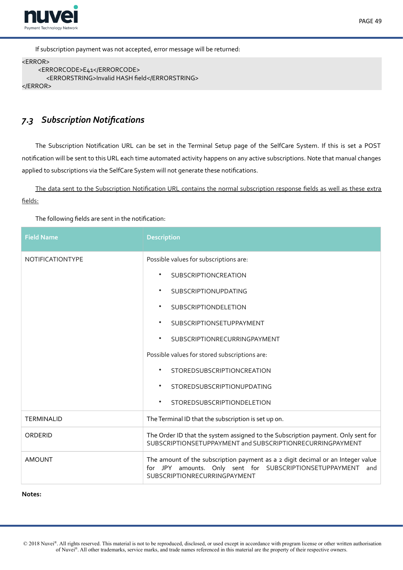

If subscription payment was not accepted, error message will be returned:

```
<ERROR>
    <ERRORCODE>E41</ERRORCODE>
      <ERRORSTRING>Invalid HASH field</ERRORSTRING>
</ERROR>
```
# <span id="page-48-0"></span>*7.3 Subscription Notifcations*

The Subscription Notifcation URL can be set in the Terminal Setup page of the SelfCare System. If this is set a POST notifcation will be sent to this URL each time automated activity happens on any active subscriptions. Note that manual changes applied to subscriptions via the SelfCare System will not generate these notifcations.

The data sent to the Subscription Notification URL contains the normal subscription response fields as well as these extra fields:

The following felds are sent in the notifcation:

| <b>Field Name</b> | <b>Description</b>                                                                                                                                                                |  |
|-------------------|-----------------------------------------------------------------------------------------------------------------------------------------------------------------------------------|--|
| NOTIFICATIONTYPE  | Possible values for subscriptions are:                                                                                                                                            |  |
|                   | <b>SUBSCRIPTIONCREATION</b>                                                                                                                                                       |  |
|                   | SUBSCRIPTIONUPDATING                                                                                                                                                              |  |
|                   | <b>SUBSCRIPTIONDELETION</b><br>$\bullet$                                                                                                                                          |  |
|                   | SUBSCRIPTIONSETUPPAYMENT<br>$\bullet$                                                                                                                                             |  |
|                   | SUBSCRIPTIONRECURRINGPAYMENT<br>$\bullet$                                                                                                                                         |  |
|                   | Possible values for stored subscriptions are:                                                                                                                                     |  |
|                   | STOREDSUBSCRIPTIONCREATION                                                                                                                                                        |  |
|                   | <b>STOREDSUBSCRIPTIONUPDATING</b>                                                                                                                                                 |  |
|                   | <b>STOREDSUBSCRIPTIONDELETION</b><br>$\bullet$                                                                                                                                    |  |
| <b>TERMINALID</b> | The Terminal ID that the subscription is set up on.                                                                                                                               |  |
| ORDERID           | The Order ID that the system assigned to the Subscription payment. Only sent for<br>SUBSCRIPTIONSETUPPAYMENT and SUBSCRIPTIONRECURRINGPAYMENT                                     |  |
| <b>AMOUNT</b>     | The amount of the subscription payment as a 2 digit decimal or an Integer value<br>for JPY amounts. Only sent for SUBSCRIPTIONSETUPPAYMENT<br>and<br>SUBSCRIPTIONRECURRINGPAYMENT |  |

**Notes:**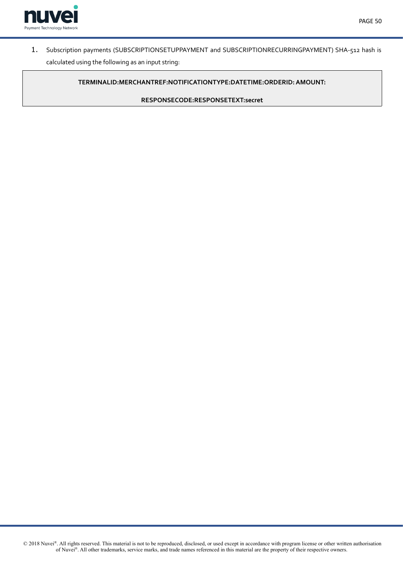



1. Subscription payments (SUBSCRIPTIONSETUPPAYMENT and SUBSCRIPTIONRECURRINGPAYMENT) SHA-512 hash is calculated using the following as an input string:

**TERMINALID:MERCHANTREF:NOTIFICATIONTYPE:DATETIME:ORDERID: AMOUNT:**

**RESPONSECODE:RESPONSETEXT:secret**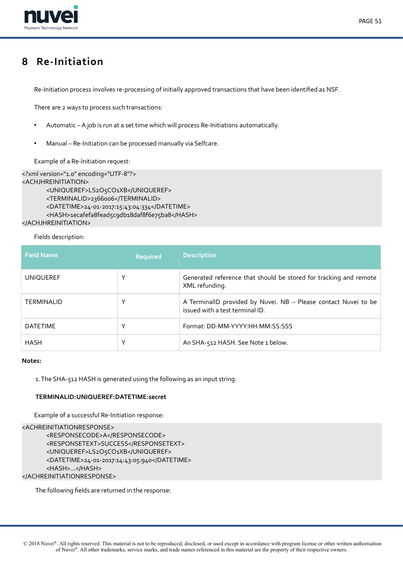

# <span id="page-50-0"></span>**8 Re-Initiation**

Re-Initiation process involves re-processing of initially approved transactions that have been identifed as NSF.

There are 2 ways to process such transactions:

- Automatic A job is run at a set time which will process Re-Initiations automatically.
- Manual Re-Initiation can be processed manually via Selfcare.

Example of a Re-Initiation request:

```
<?xml version="1.0" encoding="UTF-8"?>
<ACHJHREINITIATION>
       <UNIQUEREF>LS2O5CO1XB</UNIQUEREF>
       <TERMINALID>2366006</TERMINALID>
       <DATETIME>24-01-2017:15:43:04:334</DATETIME>
       <HASH>1ecafefa8fead5c9db18daf8f6e75ba8</HASH>
</ACHJHREINITIATION>
```
Fields description:

| <b>Field Name</b> | <b>Required</b> | <b>Description</b>                                                                                 |
|-------------------|-----------------|----------------------------------------------------------------------------------------------------|
| <b>UNIQUEREF</b>  | $\check{ }$     | Generated reference that should be stored for tracking and remote<br>XML refunding.                |
| <b>TERMINALID</b> | ∨               | A TerminalID provided by Nuvei. NB - Please contact Nuvei to be<br>issued with a test terminal ID. |
| <b>DATETIME</b>   | $\checkmark$    | Format: DD-MM-YYYY:HH:MM:SS:SSS                                                                    |
| <b>HASH</b>       | $\checkmark$    | An SHA-512 HASH. See Note 1 below.                                                                 |

#### **Notes:**

1. The SHA-512 HASH is generated using the following as an input string:

## **TERMINALID:UNIQUEREF:DATETIME:secret**

Example of a successful Re-Initiation response:

```
<ACHREINITIATIONRESPONSE>
      <RESPONSECODE>A</RESPONSECODE>
      <RESPONSETEXT>SUCCESS</RESPONSETEXT>
      <UNIQUEREF>LS2O5CO1XB</UNIQUEREF>
      <DATETIME>24-01-2017:14:43:05:940</DATETIME>
      <HASH>i...</HASH>i
</ACHREINITIATIONRESPONSE>
```
The following felds are returned in the response: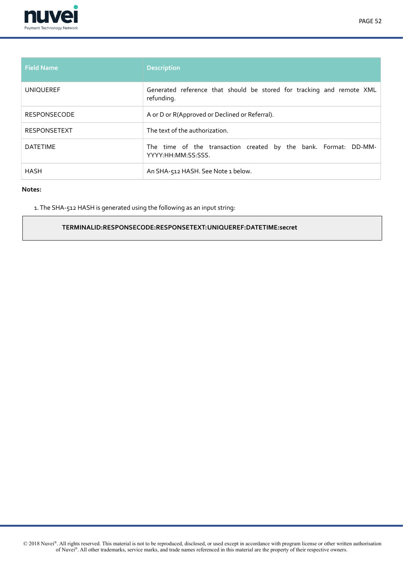

| <b>Field Name</b>   | <b>Description</b>                                                                    |
|---------------------|---------------------------------------------------------------------------------------|
| <b>UNIQUEREF</b>    | Generated reference that should be stored for tracking and remote XML<br>refunding.   |
| <b>RESPONSECODE</b> | A or D or R(Approved or Declined or Referral).                                        |
| <b>RESPONSETEXT</b> | The text of the authorization.                                                        |
| <b>DATETIME</b>     | The time of the transaction created by the bank. Format: DD-MM-<br>YYYY:HH:MM:SS:SSS. |
| <b>HASH</b>         | An SHA-512 HASH. See Note 1 below.                                                    |

1. The SHA-512 HASH is generated using the following as an input string:

# **TERMINALID:RESPONSECODE:RESPONSETEXT:UNIQUEREF:DATETIME:secret**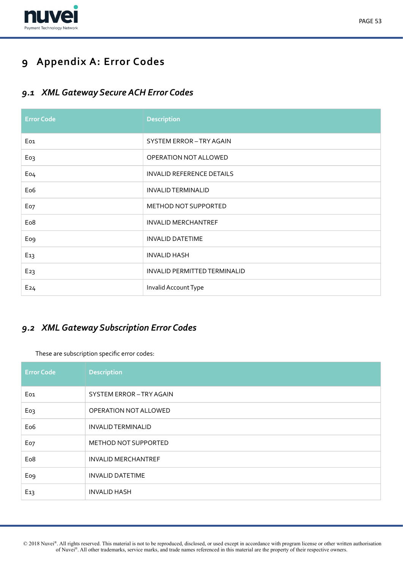

# <span id="page-52-2"></span>**9 Appendix A: Error Codes**

# <span id="page-52-1"></span>*9.1 XML Gateway Secure ACH Error Codes*

| <b>Error Code</b> | <b>Description</b>               |
|-------------------|----------------------------------|
| Eo <sub>1</sub>   | SYSTEM ERROR-TRY AGAIN           |
| Eo <sub>3</sub>   | OPERATION NOT ALLOWED            |
| Eo4               | <b>INVALID REFERENCE DETAILS</b> |
| Eo <sub>6</sub>   | <b>INVALID TERMINALID</b>        |
| Eo7               | <b>METHOD NOT SUPPORTED</b>      |
| Eo <sub>8</sub>   | <b>INVALID MERCHANTREF</b>       |
| Eo <sub>9</sub>   | <b>INVALID DATETIME</b>          |
| E <sub>13</sub>   | <b>INVALID HASH</b>              |
| E <sub>23</sub>   | INVALID PERMITTED TERMINALID     |
| E24               | Invalid Account Type             |

# <span id="page-52-0"></span>*9.2 XML Gateway Subscription Error Codes*

These are subscription specifc error codes:

| <b>Error Code</b> | <b>Description</b>         |
|-------------------|----------------------------|
| Eo1               | SYSTEM ERROR-TRY AGAIN     |
| Eo3               | OPERATION NOT ALLOWED      |
| Eo <sub>6</sub>   | <b>INVALID TERMINALID</b>  |
| Eo7               | METHOD NOT SUPPORTED       |
| Eo <sub>8</sub>   | <b>INVALID MERCHANTREF</b> |
| Eo <sub>9</sub>   | <b>INVALID DATETIME</b>    |
| E <sub>13</sub>   | <b>INVALID HASH</b>        |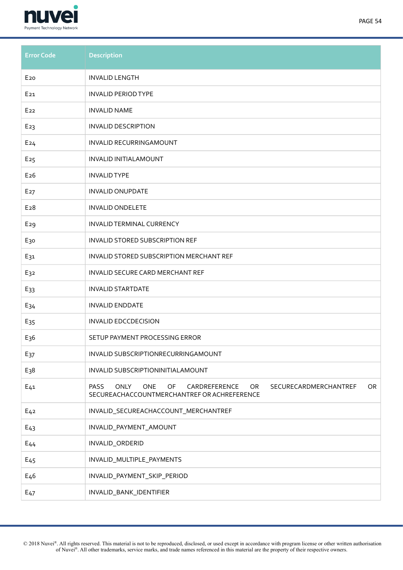

| ۰,<br>v |  |
|---------|--|
|---------|--|

| <b>Error Code</b> | <b>Description</b>                                                                                                                                   |
|-------------------|------------------------------------------------------------------------------------------------------------------------------------------------------|
| E <sub>20</sub>   | <b>INVALID LENGTH</b>                                                                                                                                |
| E <sub>21</sub>   | <b>INVALID PERIOD TYPE</b>                                                                                                                           |
| E <sub>22</sub>   | <b>INVALID NAME</b>                                                                                                                                  |
| E <sub>23</sub>   | <b>INVALID DESCRIPTION</b>                                                                                                                           |
| E24               | INVALID RECURRINGAMOUNT                                                                                                                              |
| E <sub>25</sub>   | <b>INVALID INITIALAMOUNT</b>                                                                                                                         |
| E26               | <b>INVALID TYPE</b>                                                                                                                                  |
| E <sub>27</sub>   | <b>INVALID ONUPDATE</b>                                                                                                                              |
| E <sub>28</sub>   | <b>INVALID ONDELETE</b>                                                                                                                              |
| E29               | INVALID TERMINAL CURRENCY                                                                                                                            |
| E <sub>3</sub> o  | INVALID STORED SUBSCRIPTION REF                                                                                                                      |
| E31               | INVALID STORED SUBSCRIPTION MERCHANT REF                                                                                                             |
| E32               | INVALID SECURE CARD MERCHANT REF                                                                                                                     |
| E <sub>33</sub>   | <b>INVALID STARTDATE</b>                                                                                                                             |
| E <sub>34</sub>   | <b>INVALID ENDDATE</b>                                                                                                                               |
| E <sub>35</sub>   | <b>INVALID EDCCDECISION</b>                                                                                                                          |
| E <sub>3</sub> 6  | SETUP PAYMENT PROCESSING ERROR                                                                                                                       |
| E <sub>37</sub>   | INVALID SUBSCRIPTIONRECURRINGAMOUNT                                                                                                                  |
| $E_38$            | INVALID SUBSCRIPTIONINITIALAMOUNT                                                                                                                    |
| $E_{41}$          | <b>ONLY</b><br><b>ONE</b><br>OF<br>CARDREFERENCE<br>OR<br><b>PASS</b><br>OR.<br>SECURECARDMERCHANTREF<br>SECUREACHACCOUNTMERCHANTREF OR ACHREFERENCE |
| E <sub>42</sub>   | INVALID_SECUREACHACCOUNT_MERCHANTREF                                                                                                                 |
| $E_{43}$          | INVALID_PAYMENT_AMOUNT                                                                                                                               |
| $E_{44}$          | INVALID_ORDERID                                                                                                                                      |
| E <sub>45</sub>   | INVALID_MULTIPLE_PAYMENTS                                                                                                                            |
| E <sub>4</sub> 6  | INVALID_PAYMENT_SKIP_PERIOD                                                                                                                          |
| E <sub>47</sub>   | INVALID_BANK_IDENTIFIER                                                                                                                              |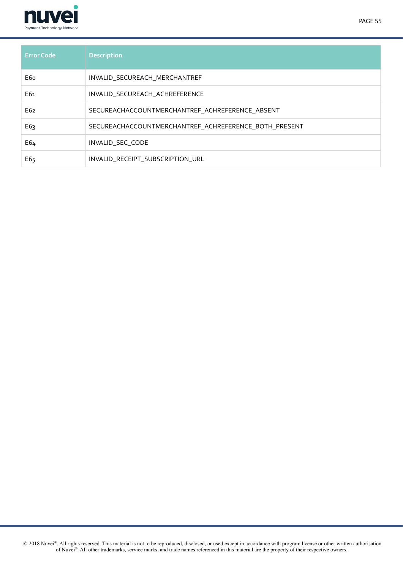

| <b>Error Code</b> | <b>Description</b>                                    |
|-------------------|-------------------------------------------------------|
| E6o               | INVALID SECUREACH MERCHANTREF                         |
| E61               | INVALID SECUREACH ACHREFERENCE                        |
| E62               | SECUREACHACCOUNTMERCHANTREF_ACHREFERENCE_ABSENT       |
| E63               | SECUREACHACCOUNTMERCHANTREF_ACHREFERENCE_BOTH_PRESENT |
| E64               | INVALID SEC CODE                                      |
| E65               | INVALID_RECEIPT_SUBSCRIPTION_URL                      |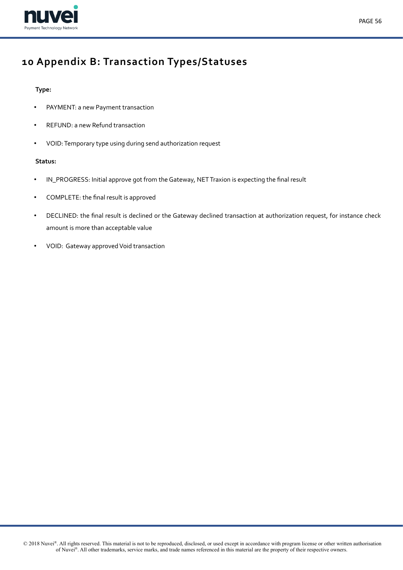

# PAGE 56

# <span id="page-55-0"></span>**10 Appendix B: Transaction Types/Statuses**

# **Type:**

- PAYMENT: a new Payment transaction
- REFUND: a new Refund transaction
- VOID: Temporary type using during send authorization request

## **Status:**

- IN\_PROGRESS: Initial approve got from the Gateway, NET Traxion is expecting the fnal result
- COMPLETE: the fnal result is approved
- DECLINED: the fnal result is declined or the Gateway declined transaction at authorization request, for instance check amount is more than acceptable value
- VOID: Gateway approved Void transaction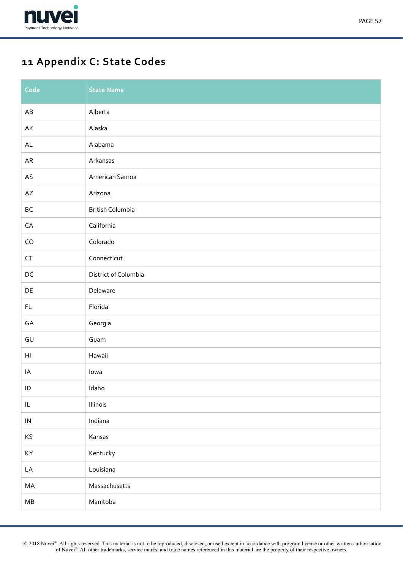

# <span id="page-56-0"></span>**11 Appendix C: State Codes**

| Code                                                 | <b>State Name</b>       |
|------------------------------------------------------|-------------------------|
| $\mathsf{A}\mathsf{B}$                               | Alberta                 |
| AK                                                   | Alaska                  |
| $\mathsf{AL}$                                        | Alabama                 |
| ${\sf AR}$                                           | Arkansas                |
| $\mathsf{AS}$                                        | American Samoa          |
| $\mathsf{AZ}$                                        | Arizona                 |
| $\mathsf{BC}$                                        | <b>British Columbia</b> |
| ${\sf CA}$                                           | California              |
| ${\sf CO}$                                           | Colorado                |
| ${\sf CT}$                                           | Connecticut             |
| $\mathsf{DC}$                                        | District of Columbia    |
| $\mathsf{DE}% _{T}$                                  | Delaware                |
| $\mathsf{FL}$                                        | Florida                 |
| GA                                                   | Georgia                 |
| $\mathsf{GU}% _{\mathsf{C}}\left( \mathsf{C}\right)$ | Guam                    |
| $\mathsf{H}\mathsf{I}$                               | Hawaii                  |
| IA                                                   | lowa                    |
| $\sf ID$                                             | Idaho                   |
| $\ensuremath{\mathsf{IL}}\xspace$                    | Illinois                |
| ${\sf IN}$                                           | Indiana                 |
| KS                                                   | Kansas                  |
| KY                                                   | Kentucky                |
| LA                                                   | Louisiana               |
| MA                                                   | Massachusetts           |
| ${\sf MB}$                                           | Manitoba                |

 © 2018 Nuvei®. All rights reserved. This material is not to be reproduced, disclosed, or used except in accordance with program license or other written authorisation of Nuvei®. All other trademarks, service marks, and trade names referenced in this material are the property of their respective owners.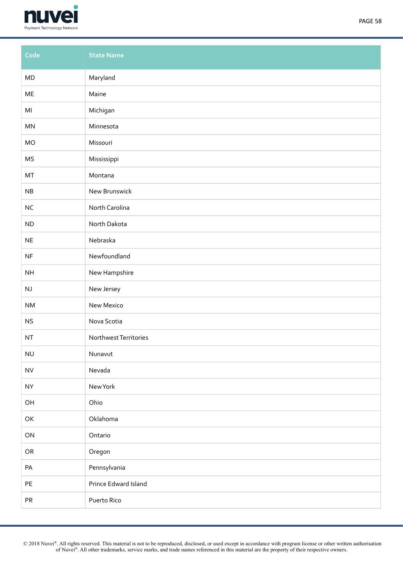

| Code                   | <b>State Name</b>     |
|------------------------|-----------------------|
| ${\sf MD}$             | Maryland              |
| $\sf ME$               | Maine                 |
| M <sub>l</sub>         | Michigan              |
| $\mathsf{MN}$          | Minnesota             |
| MO                     | Missouri              |
| MS                     | Mississippi           |
| MT                     | Montana               |
| ${\sf NB}$             | New Brunswick         |
| $\sf NC$               | North Carolina        |
| ND                     | North Dakota          |
| $\sf NE$               | Nebraska              |
| NF                     | Newfoundland          |
| $\mathsf{NH}\,$        | New Hampshire         |
| $\mathsf{N}\mathsf{J}$ | New Jersey            |
| $\mathsf{N}\mathsf{M}$ | New Mexico            |
| <b>NS</b>              | Nova Scotia           |
| $\sf{NT}$              | Northwest Territories |
| <b>NU</b>              | Nunavut               |
| ${\sf NV}$             | Nevada                |
| <b>NY</b>              | New York              |
| $\mathsf{OH}$          | Ohio                  |
| OK                     | Oklahoma              |
| ON                     | Ontario               |
| ${\sf OR}$             | Oregon                |
| PA                     | Pennsylvania          |
| $\mathsf{PE}$          | Prince Edward Island  |
| ${\sf PR}$             | Puerto Rico           |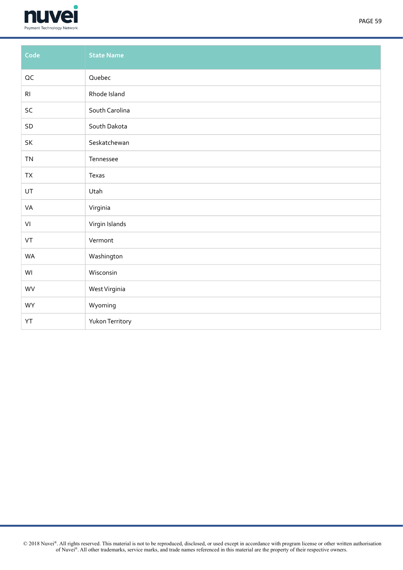

| Code           | <b>State Name</b> |
|----------------|-------------------|
| $\mathsf{OC}$  | Quebec            |
| R <sub>l</sub> | Rhode Island      |
| SC             | South Carolina    |
| SD             | South Dakota      |
| SK             | Seskatchewan      |
| TN             | Tennessee         |
| TX             | Texas             |
| UT             | Utah              |
| VA             | Virginia          |
| VI             | Virgin Islands    |
| VT             | Vermont           |
| WA             | Washington        |
| WI             | Wisconsin         |
| WV             | West Virginia     |
| WY             | Wyoming           |
| YT             | Yukon Territory   |